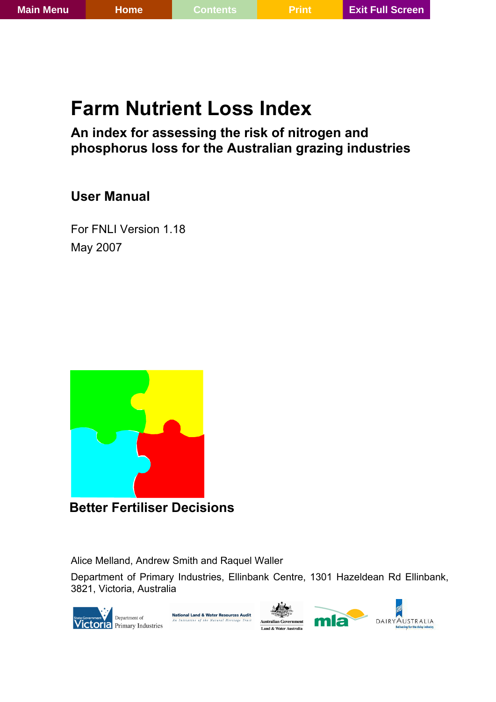# **Farm Nutrient Loss Index**

# **An index for assessing the risk of nitrogen and phosphorus loss for the Australian grazing industries**

# **User Manual**

For FNLI Version 1.18 May 2007



**Better Fertiliser Decisions** 

Alice Melland, Andrew Smith and Raquel Waller

Department of Primary Industries, Ellinbank Centre, 1301 Hazeldean Rd Ellinbank, 3821, Victoria, Australia

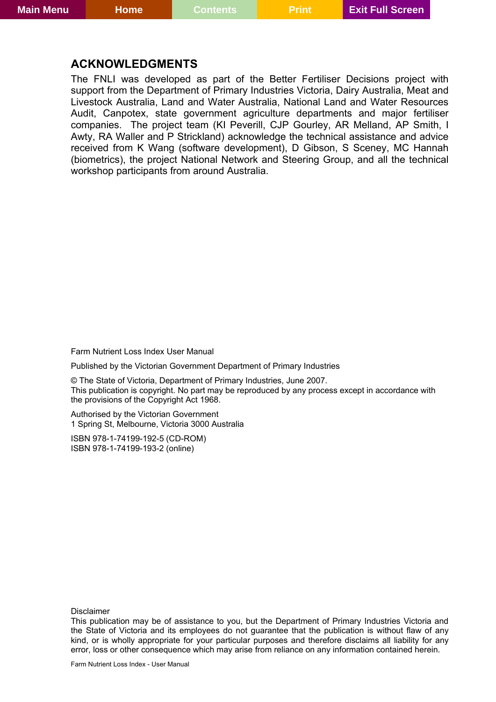### <span id="page-1-0"></span>**ACKNOWLEDGMENTS**

The FNLI was developed as part of the Better Fertiliser Decisions project with support from the Department of Primary Industries Victoria, Dairy Australia, Meat and Livestock Australia, Land and Water Australia, National Land and Water Resources Audit, Canpotex, state government agriculture departments and major fertiliser companies. The project team (KI Peverill, CJP Gourley, AR Melland, AP Smith, I Awty, RA Waller and P Strickland) acknowledge the technical assistance and advice received from K Wang (software development), D Gibson, S Sceney, MC Hannah (biometrics), the project National Network and Steering Group, and all the technical workshop participants from around Australia.

Farm Nutrient Loss Index User Manual

Published by the Victorian Government Department of Primary Industries

© The State of Victoria, Department of Primary Industries, June 2007. This publication is copyright. No part may be reproduced by any process except in accordance with the provisions of the Copyright Act 1968.

Authorised by the Victorian Government 1 Spring St, Melbourne, Victoria 3000 Australia

ISBN 978-1-74199-192-5 (CD-ROM) ISBN 978-1-74199-193-2 (online)

Disclaimer

This publication may be of assistance to you, but the Department of Primary Industries Victoria and the State of Victoria and its employees do not guarantee that the publication is without flaw of any kind, or is wholly appropriate for your particular purposes and therefore disclaims all liability for any error, loss or other consequence which may arise from reliance on any information contained herein.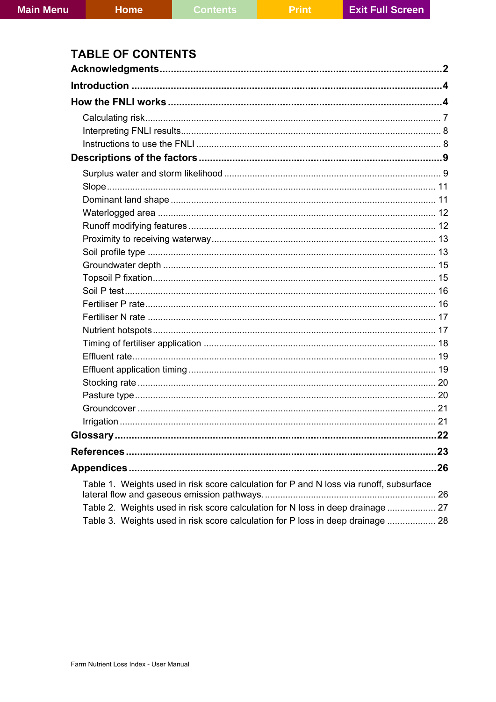# **TABLE OF CONTENTS**

|                                                                                         | .23 |
|-----------------------------------------------------------------------------------------|-----|
|                                                                                         |     |
| Table 1. Weights used in risk score calculation for P and N loss via runoff, subsurface |     |
|                                                                                         |     |
| Table 2. Weights used in risk score calculation for N loss in deep drainage  27         |     |
| Table 3. Weights used in risk score calculation for P loss in deep drainage  28         |     |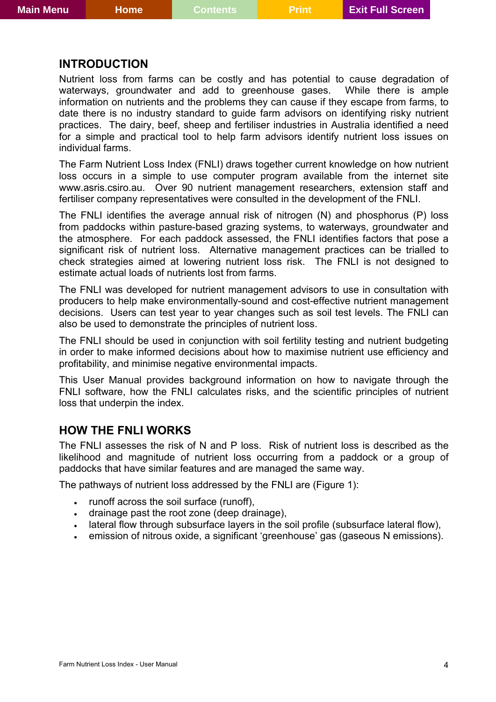### <span id="page-3-0"></span>**INTRODUCTION**

Nutrient loss from farms can be costly and has potential to cause degradation of waterways, groundwater and add to greenhouse gases. While there is ample information on nutrients and the problems they can cause if they escape from farms, to date there is no industry standard to guide farm advisors on identifying risky nutrient practices. The dairy, beef, sheep and fertiliser industries in Australia identified a need for a simple and practical tool to help farm advisors identify nutrient loss issues on individual farms.

The Farm Nutrient Loss Index (FNLI) draws together current knowledge on how nutrient loss occurs in a simple to use computer program available from the internet site www.asris.csiro.au. Over 90 nutrient management researchers, extension staff and fertiliser company representatives were consulted in the development of the FNLI.

The FNLI identifies the average annual risk of nitrogen (N) and phosphorus (P) loss from paddocks within pasture-based grazing systems, to waterways, groundwater and the atmosphere. For each paddock assessed, the FNLI identifies factors that pose a significant risk of nutrient loss. Alternative management practices can be trialled to check strategies aimed at lowering nutrient loss risk. The FNLI is not designed to estimate actual loads of nutrients lost from farms.

The FNLI was developed for nutrient management advisors to use in consultation with producers to help make environmentally-sound and cost-effective nutrient management decisions. Users can test year to year changes such as soil test levels. The FNLI can also be used to demonstrate the principles of nutrient loss.

The FNLI should be used in conjunction with soil fertility testing and nutrient budgeting in order to make informed decisions about how to maximise nutrient use efficiency and profitability, and minimise negative environmental impacts.

This User Manual provides background information on how to navigate through the FNLI software, how the FNLI calculates risks, and the scientific principles of nutrient loss that underpin the index.

#### **HOW THE FNLI WORKS**

The FNLI assesses the risk of N and P loss. Risk of nutrient loss is described as the likelihood and magnitude of nutrient loss occurring from a paddock or a group of paddocks that have similar features and are managed the same way.

The pathways of nutrient loss addressed by the FNLI are ([Figure 1\)](#page-4-0):

- runoff across the soil surface (runoff),
- drainage past the root zone (deep drainage),
- lateral flow through subsurface layers in the soil profile (subsurface lateral flow),
- emission of nitrous oxide, a significant 'greenhouse' gas (gaseous N emissions).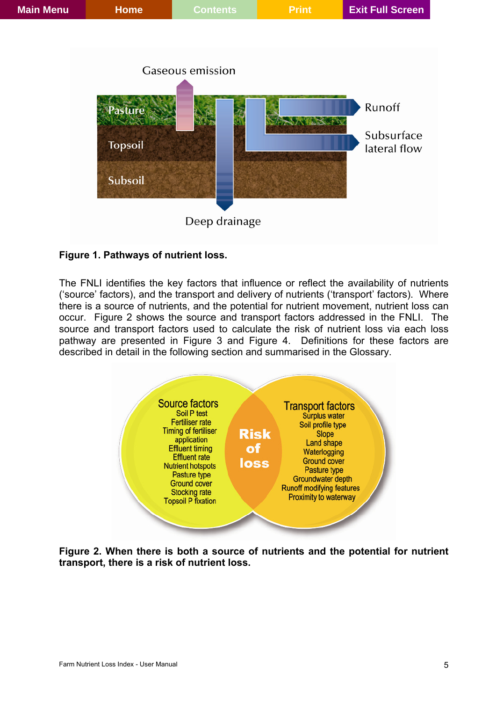

### <span id="page-4-0"></span>**Figure 1. Pathways of nutrient loss.**

The FNLI identifies the key factors that influence or reflect the availability of nutrients ('source' factors), and the transport and delivery of nutrients ('transport' factors). Where there is a source of nutrients, and the potential for nutrient movement, nutrient loss can occur. [Figure 2](#page-4-1) shows the source and transport factors addressed in the FNLI. The source and transport factors used to calculate the risk of nutrient loss via each loss pathway are presented in [Figure 3](#page-5-0) and [Figure 4.](#page-5-1) Definitions for these factors are described in detail in the following section and summarised in the Glossary.



<span id="page-4-1"></span>**Figure 2. When there is both a source of nutrients and the potential for nutrient transport, there is a risk of nutrient loss.**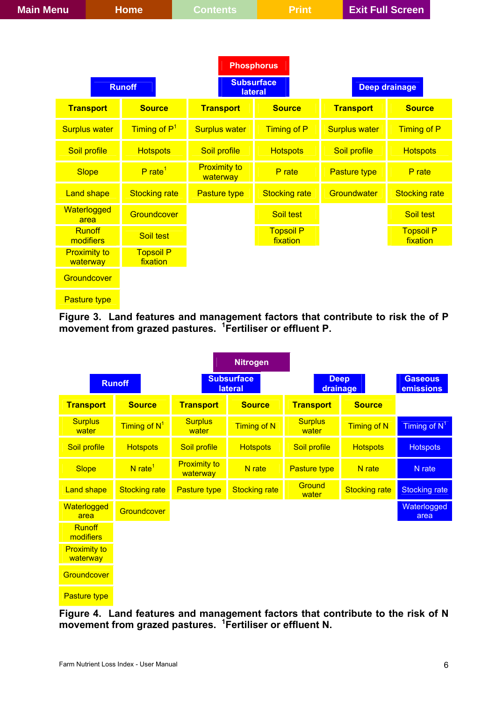| <b>Main Menu</b><br><b>Home</b> |                              | <b>Contents</b>                     | <b>Print</b>                 |                      | <b>Exit Full Screen</b>      |
|---------------------------------|------------------------------|-------------------------------------|------------------------------|----------------------|------------------------------|
|                                 |                              |                                     |                              |                      |                              |
|                                 |                              | <b>Phosphorus</b>                   |                              |                      |                              |
|                                 | <b>Runoff</b>                | <b>Subsurface</b><br><b>lateral</b> |                              |                      | <b>Deep drainage</b>         |
| <b>Transport</b>                | <b>Source</b>                | <b>Transport</b>                    | <b>Source</b>                | <b>Transport</b>     | <b>Source</b>                |
| <b>Surplus water</b>            | Timing of P <sup>1</sup>     | <b>Surplus water</b>                | Timing of P                  | <b>Surplus water</b> | Timing of P                  |
| Soil profile                    | <b>Hotspots</b>              | Soil profile                        | <b>Hotspots</b>              | Soil profile         | <b>Hotspots</b>              |
| <b>Slope</b>                    | $P$ rate <sup>1</sup>        | <b>Proximity to</b><br>waterway     | P rate                       | Pasture type         | P rate                       |
| <b>Land shape</b>               | <b>Stocking rate</b>         | <b>Pasture type</b>                 | <b>Stocking rate</b>         | Groundwater          | <b>Stocking rate</b>         |
| Waterlogged<br>area             | Groundcover                  |                                     | Soil test                    |                      | Soil test                    |
| <b>Runoff</b><br>modifiers      | Soil test                    |                                     | <b>Topsoil P</b><br>fixation |                      | <b>Topsoil P</b><br>fixation |
| <b>Proximity to</b><br>waterway | <b>Topsoil P</b><br>fixation |                                     |                              |                      |                              |
| Groundcover                     |                              |                                     |                              |                      |                              |
| <b>Pasture type</b>             |                              |                                     |                              |                      |                              |

<span id="page-5-0"></span>**Figure 3. Land features and management factors that contribute to risk the of P movement from grazed pastures. <sup>1</sup> Fertiliser or effluent P.** 

|                                 |                          |                                     | <b>Nitrogen</b>      |                         |                         |                      |
|---------------------------------|--------------------------|-------------------------------------|----------------------|-------------------------|-------------------------|----------------------|
| <b>Runoff</b>                   |                          | <b>Subsurface</b><br><b>lateral</b> |                      |                         | <b>Deep</b><br>drainage |                      |
| <b>Transport</b>                | <b>Source</b>            | <b>Transport</b>                    | <b>Source</b>        | <b>Transport</b>        | <b>Source</b>           |                      |
| <b>Surplus</b><br>water         | Timing of N <sup>1</sup> | <b>Surplus</b><br>water             | <b>Timing of N</b>   | <b>Surplus</b><br>water | <b>Timing of N</b>      | Timing of $N^1$      |
| Soil profile                    | <b>Hotspots</b>          | Soil profile                        | <b>Hotspots</b>      | Soil profile            | <b>Hotspots</b>         | <b>Hotspots</b>      |
| <b>Slope</b>                    | $N$ rate <sup>1</sup>    | <b>Proximity to</b><br>waterway     | N rate               | <b>Pasture type</b>     | N rate                  | N rate               |
| <b>Land shape</b>               | <b>Stocking rate</b>     | <b>Pasture type</b>                 | <b>Stocking rate</b> | Ground<br>water         | <b>Stocking rate</b>    | <b>Stocking rate</b> |
| Waterlogged<br>area             | Groundcover              |                                     |                      |                         |                         | Waterlogged<br>area  |
| <b>Runoff</b><br>modifiers      |                          |                                     |                      |                         |                         |                      |
| <b>Proximity to</b><br>waterway |                          |                                     |                      |                         |                         |                      |
| Groundcover                     |                          |                                     |                      |                         |                         |                      |
| <b>Pasture type</b>             |                          |                                     |                      |                         |                         |                      |

<span id="page-5-1"></span>**Figure 4. Land features and management factors that contribute to the risk of N movement from grazed pastures. <sup>1</sup> Fertiliser or effluent N.**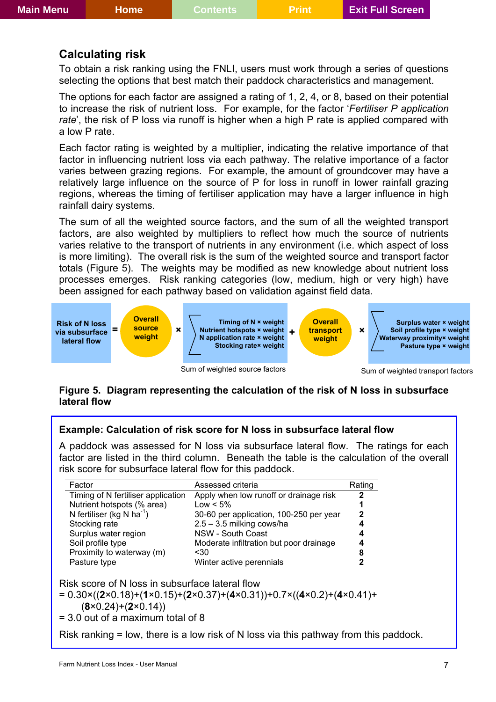### <span id="page-6-0"></span>**Calculating risk**

To obtain a risk ranking using the FNLI, users must work through a series of questions selecting the options that best match their paddock characteristics and management.

The options for each factor are assigned a rating of 1, 2, 4, or 8, based on their potential to increase the risk of nutrient loss. For example, for the factor '*Fertiliser P application rate*', the risk of P loss via runoff is higher when a high P rate is applied compared with a low P rate.

Each factor rating is weighted by a multiplier, indicating the relative importance of that factor in influencing nutrient loss via each pathway. The relative importance of a factor varies between grazing regions. For example, the amount of groundcover may have a relatively large influence on the source of P for loss in runoff in lower rainfall grazing regions, whereas the timing of fertiliser application may have a larger influence in high rainfall dairy systems.

The sum of all the weighted source factors, and the sum of all the weighted transport factors, are also weighted by multipliers to reflect how much the source of nutrients varies relative to the transport of nutrients in any environment (i.e. which aspect of loss is more limiting). The overall risk is the sum of the weighted source and transport factor totals (Figure 5). The weights may be modified as new knowledge about nutrient loss processes emerges. Risk ranking categories (low, medium, high or very high) have been assigned for each pathway based on validation against field data.



Sum of weighted source factors

Sum of weighted transport factors

#### **Figure 5. Diagram representing the calculation of the risk of N loss in subsurface lateral flow**

#### **Example: Calculation of risk score for N loss in subsurface lateral flow**

A paddock was assessed for N loss via subsurface lateral flow. The ratings for each factor are listed in the third column. Beneath the table is the calculation of the overall risk score for subsurface lateral flow for this paddock.

| Factor                                | Assessed criteria                       | Rating       |
|---------------------------------------|-----------------------------------------|--------------|
| Timing of N fertiliser application    | Apply when low runoff or drainage risk  | 2            |
| Nutrient hotspots (% area)            | $Low < 5\%$                             |              |
| N fertiliser (kg N ha <sup>-1</sup> ) | 30-60 per application, 100-250 per year | $\mathbf{2}$ |
| Stocking rate                         | $2.5 - 3.5$ milking cows/ha             | 4            |
| Surplus water region                  | NSW - South Coast                       | 4            |
| Soil profile type                     | Moderate infiltration but poor drainage | 4            |
| Proximity to waterway (m)             | <30                                     | 8            |
| Pasture type                          | Winter active perennials                | 2            |

Risk score of N loss in subsurface lateral flow

$$
= 0.30 \times ((2 \times 0.18) + (1 \times 0.15) + (2 \times 0.37) + (4 \times 0.31)) + 0.7 \times ((4 \times 0.2) + (4 \times 0.41) +
$$

(**8**×0.24)+(**2**×0.14))

= 3.0 out of a maximum total of 8

Risk ranking = low, there is a low risk of N loss via this pathway from this paddock.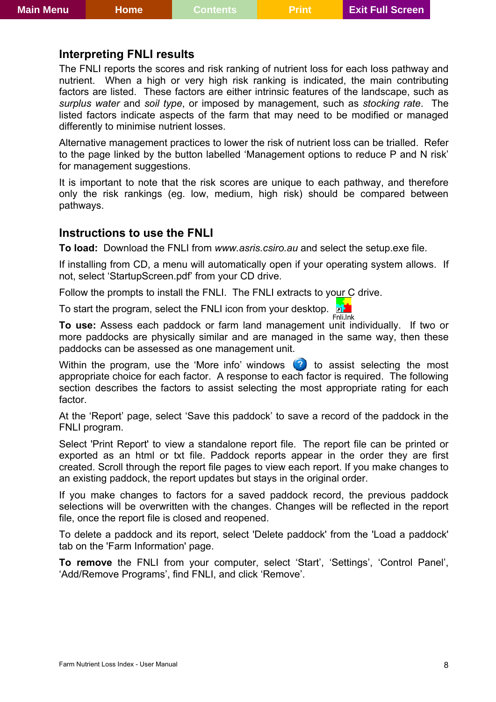### <span id="page-7-0"></span>**Interpreting FNLI results**

The FNLI reports the scores and risk ranking of nutrient loss for each loss pathway and nutrient. When a high or very high risk ranking is indicated, the main contributing factors are listed. These factors are either intrinsic features of the landscape, such as *surplus water* and *soil type*, or imposed by management, such as *stocking rate*. The listed factors indicate aspects of the farm that may need to be modified or managed differently to minimise nutrient losses.

Alternative management practices to lower the risk of nutrient loss can be trialled. Refer to the page linked by the button labelled 'Management options to reduce P and N risk' for management suggestions.

It is important to note that the risk scores are unique to each pathway, and therefore only the risk rankings (eg. low, medium, high risk) should be compared between pathways.

### **Instructions to use the FNLI**

**To load:** Download the FNLI from *www.asris.csiro.au* and select the setup.exe file.

If installing from CD, a menu will automatically open if your operating system allows. If not, select 'StartupScreen.pdf' from your CD drive.

Follow the prompts to install the FNLI. The FNLI extracts to your C drive.

To start the program, select the FNLI icon from your desktop. Fnli.lnk

**To use:** Assess each paddock or farm land management unit individually. If two or more paddocks are physically similar and are managed in the same way, then these paddocks can be assessed as one management unit.

Within the program, use the 'More info' windows  $\bullet$  to assist selecting the most appropriate choice for each factor. A response to each factor is required. The following section describes the factors to assist selecting the most appropriate rating for each factor.

At the 'Report' page, select 'Save this paddock' to save a record of the paddock in the FNLI program.

Select 'Print Report' to view a standalone report file. The report file can be printed or exported as an html or txt file. Paddock reports appear in the order they are first created. Scroll through the report file pages to view each report. If you make changes to an existing paddock, the report updates but stays in the original order.

If you make changes to factors for a saved paddock record, the previous paddock selections will be overwritten with the changes. Changes will be reflected in the report file, once the report file is closed and reopened.

To delete a paddock and its report, select 'Delete paddock' from the 'Load a paddock' tab on the 'Farm Information' page.

**To remove** the FNLI from your computer, select 'Start', 'Settings', 'Control Panel', 'Add/Remove Programs', find FNLI, and click 'Remove'.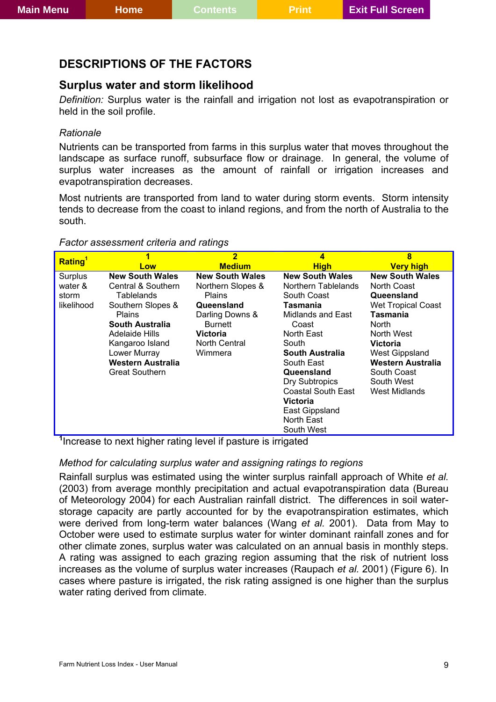### <span id="page-8-0"></span>**DESCRIPTIONS OF THE FACTORS**

### **Surplus water and storm likelihood**

*Definition:* Surplus water is the rainfall and irrigation not lost as evapotranspiration or held in the soil profile.

#### *Rationale*

Nutrients can be transported from farms in this surplus water that moves throughout the landscape as surface runoff, subsurface flow or drainage. In general, the volume of surplus water increases as the amount of rainfall or irrigation increases and evapotranspiration decreases.

Most nutrients are transported from land to water during storm events. Storm intensity tends to decrease from the coast to inland regions, and from the north of Australia to the south.

|                                                                  |                                                                                                                                                                                                                        | $\overline{2}$                                                                                                                                                                  | 4                                                                                                                                                                                                  | 8                                                                                                                                                                                                                              |
|------------------------------------------------------------------|------------------------------------------------------------------------------------------------------------------------------------------------------------------------------------------------------------------------|---------------------------------------------------------------------------------------------------------------------------------------------------------------------------------|----------------------------------------------------------------------------------------------------------------------------------------------------------------------------------------------------|--------------------------------------------------------------------------------------------------------------------------------------------------------------------------------------------------------------------------------|
|                                                                  | Low                                                                                                                                                                                                                    |                                                                                                                                                                                 |                                                                                                                                                                                                    |                                                                                                                                                                                                                                |
| Rating <sup>1</sup><br>Surplus<br>water &<br>storm<br>likelihood | <b>New South Wales</b><br>Central & Southern<br>Tablelands<br>Southern Slopes &<br><b>Plains</b><br>South Australia<br>Adelaide Hills<br>Kangaroo Island<br>Lower Murray<br>Western Australia<br><b>Great Southern</b> | <b>Medium</b><br><b>New South Wales</b><br>Northern Slopes &<br><b>Plains</b><br>Queensland<br>Darling Downs &<br><b>Burnett</b><br><b>Victoria</b><br>North Central<br>Wimmera | <b>High</b><br><b>New South Wales</b><br>Northern Tablelands<br>South Coast<br>Tasmania<br>Midlands and East<br>Coast<br>North East<br>South<br><b>South Australia</b><br>South East<br>Queensland | <b>Very high</b><br><b>New South Wales</b><br>North Coast<br>Queensland<br><b>Wet Tropical Coast</b><br>Tasmania<br><b>North</b><br>North West<br><b>Victoria</b><br><b>West Gippsland</b><br>Western Australia<br>South Coast |
|                                                                  |                                                                                                                                                                                                                        |                                                                                                                                                                                 | <b>Dry Subtropics</b><br><b>Coastal South East</b><br>Victoria<br>East Gippsland<br>North East<br>South West                                                                                       | South West<br>West Midlands                                                                                                                                                                                                    |

#### *Factor assessment criteria and ratings*

**1** Increase to next higher rating level if pasture is irrigated

### *Method for calculating surplus water and assigning ratings to regions*

Rainfall surplus was estimated using the winter surplus rainfall approach of White *et al.* (2003) from average monthly precipitation and actual evapotranspiration data (Bureau of Meteorology 2004) for each Australian rainfall district. The differences in soil waterstorage capacity are partly accounted for by the evapotranspiration estimates, which were derived from long-term water balances (Wang *et al.* 2001). Data from May to October were used to estimate surplus water for winter dominant rainfall zones and for other climate zones, surplus water was calculated on an annual basis in monthly steps. A rating was assigned to each grazing region assuming that the risk of nutrient loss increases as the volume of surplus water increases (Raupach *et al.* 2001) [\(Figure 6\)](#page-9-0). In cases where pasture is irrigated, the risk rating assigned is one higher than the surplus water rating derived from climate.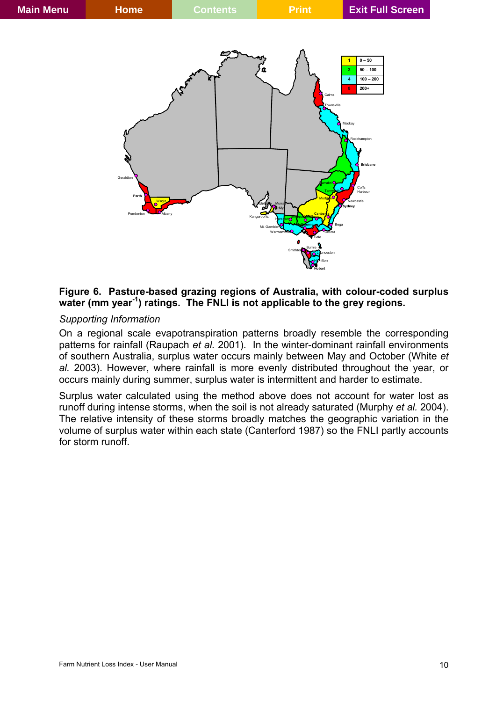

#### <span id="page-9-0"></span>**Figure 6. Pasture-based grazing regions of Australia, with colour-coded surplus**  water (mm year<sup>-1</sup>) ratings. The FNLI is not applicable to the grey regions.

#### *Supporting Information*

On a regional scale evapotranspiration patterns broadly resemble the corresponding patterns for rainfall (Raupach *et al.* 2001). In the winter-dominant rainfall environments of southern Australia, surplus water occurs mainly between May and October (White *et al.* 2003). However, where rainfall is more evenly distributed throughout the year, or occurs mainly during summer, surplus water is intermittent and harder to estimate.

Surplus water calculated using the method above does not account for water lost as runoff during intense storms, when the soil is not already saturated (Murphy *et al.* 2004). The relative intensity of these storms broadly matches the geographic variation in the volume of surplus water within each state (Canterford 1987) so the FNLI partly accounts for storm runoff.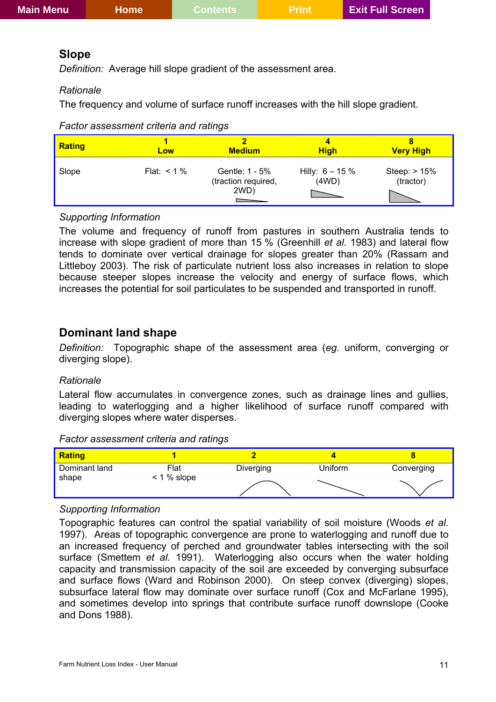### <span id="page-10-0"></span>**Slope**

*Definition:* Average hill slope gradient of the assessment area.

### *Rationale*

The frequency and volume of surface runoff increases with the hill slope gradient.

### *Factor assessment criteria and ratings*

| <b>Rating</b> | Low            | <b>Medium</b>                                 | <b>High</b>                 | <b>Very High</b>          |
|---------------|----------------|-----------------------------------------------|-----------------------------|---------------------------|
| Slope         | Flat: $< 1 \%$ | Gentle: 1 - 5%<br>(traction required,<br>2WD) | Hilly: $6 - 15 \%$<br>(4WD) | Steep: > 15%<br>(tractor) |

### *Supporting Information*

The volume and frequency of runoff from pastures in southern Australia tends to increase with slope gradient of more than 15 % (Greenhill *et al.* 1983) and lateral flow tends to dominate over vertical drainage for slopes greater than 20% (Rassam and Littleboy 2003). The risk of particulate nutrient loss also increases in relation to slope because steeper slopes increase the velocity and energy of surface flows, which increases the potential for soil particulates to be suspended and transported in runoff.

### **Dominant land shape**

*Definition:* Topographic shape of the assessment area (*eg.* uniform, converging or diverging slope).

### *Rationale*

Lateral flow accumulates in convergence zones, such as drainage lines and gullies, leading to waterlogging and a higher likelihood of surface runoff compared with diverging slopes where water disperses.

*Factor assessment criteria and ratings* 



### *Supporting Information*

Topographic features can control the spatial variability of soil moisture (Woods *et al.* 1997). Areas of topographic convergence are prone to waterlogging and runoff due to an increased frequency of perched and groundwater tables intersecting with the soil surface (Smettem *et al.* 1991). Waterlogging also occurs when the water holding capacity and transmission capacity of the soil are exceeded by converging subsurface and surface flows (Ward and Robinson 2000). On steep convex (diverging) slopes, subsurface lateral flow may dominate over surface runoff (Cox and McFarlane 1995), and sometimes develop into springs that contribute surface runoff downslope (Cooke and Dons 1988).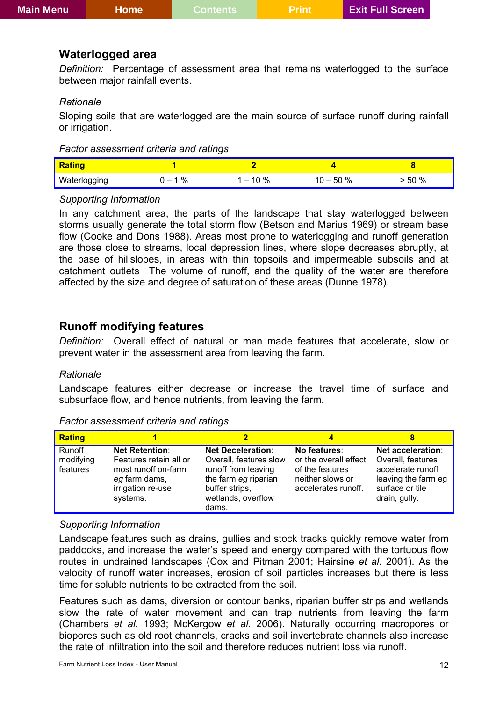### <span id="page-11-0"></span>**Waterlogged area**

*Definition:* Percentage of assessment area that remains waterlogged to the surface between major rainfall events.

#### *Rationale*

Sloping soils that are waterlogged are the main source of surface runoff during rainfall or irrigation.

| <b>Rating</b> |   |      |      |      |
|---------------|---|------|------|------|
| Waterlogging  | % | 10 % | 50 % | 50 % |

#### *Supporting Information*

In any catchment area, the parts of the landscape that stay waterlogged between storms usually generate the total storm flow (Betson and Marius 1969) or stream base flow (Cooke and Dons 1988). Areas most prone to waterlogging and runoff generation are those close to streams, local depression lines, where slope decreases abruptly, at the base of hillslopes, in areas with thin topsoils and impermeable subsoils and at catchment outlets The volume of runoff, and the quality of the water are therefore affected by the size and degree of saturation of these areas (Dunne 1978).

### **Runoff modifying features**

*Definition:* Overall effect of natural or man made features that accelerate, slow or prevent water in the assessment area from leaving the farm.

#### *Rationale*

Landscape features either decrease or increase the travel time of surface and subsurface flow, and hence nutrients, from leaving the farm.

| <b>Rating</b>                   |                                                                                                                          | 2                                                                                                                                                  | 4                                                                                                   |                                                                                                                        |
|---------------------------------|--------------------------------------------------------------------------------------------------------------------------|----------------------------------------------------------------------------------------------------------------------------------------------------|-----------------------------------------------------------------------------------------------------|------------------------------------------------------------------------------------------------------------------------|
| Runoff<br>modifying<br>features | <b>Net Retention:</b><br>Features retain all or<br>most runoff on-farm<br>eg farm dams,<br>irrigation re-use<br>systems. | <b>Net Deceleration:</b><br>Overall, features slow<br>runoff from leaving<br>the farm eg riparian<br>buffer strips,<br>wetlands, overflow<br>dams. | No features:<br>or the overall effect<br>of the features<br>neither slows or<br>accelerates runoff. | Net acceleration:<br>Overall, features<br>accelerate runoff<br>leaving the farm eg<br>surface or tile<br>drain, gully. |

*Factor assessment criteria and ratings* 

#### *Supporting Information*

Landscape features such as drains, gullies and stock tracks quickly remove water from paddocks, and increase the water's speed and energy compared with the tortuous flow routes in undrained landscapes (Cox and Pitman 2001; Hairsine *et al.* 2001). As the velocity of runoff water increases, erosion of soil particles increases but there is less time for soluble nutrients to be extracted from the soil.

Features such as dams, diversion or contour banks, riparian buffer strips and wetlands slow the rate of water movement and can trap nutrients from leaving the farm (Chambers *et al.* 1993; McKergow *et al.* 2006). Naturally occurring macropores or biopores such as old root channels, cracks and soil invertebrate channels also increase the rate of infiltration into the soil and therefore reduces nutrient loss via runoff.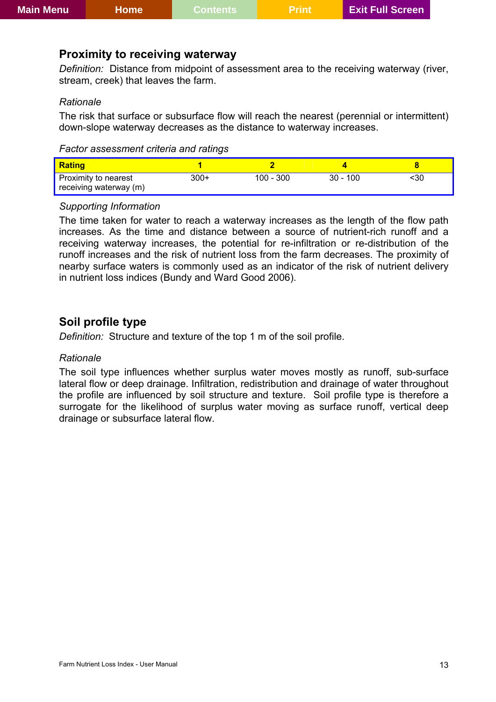### <span id="page-12-0"></span>**Proximity to receiving waterway**

*Definition:* Distance from midpoint of assessment area to the receiving waterway (river, stream, creek) that leaves the farm.

#### *Rationale*

The risk that surface or subsurface flow will reach the nearest (perennial or intermittent) down-slope waterway decreases as the distance to waterway increases.

| <b>Rating</b>                                  |        |             |            |     |
|------------------------------------------------|--------|-------------|------------|-----|
| Proximity to nearest<br>receiving waterway (m) | $300+$ | $100 - 300$ | $30 - 100$ | <30 |

#### *Supporting Information*

The time taken for water to reach a waterway increases as the length of the flow path increases. As the time and distance between a source of nutrient-rich runoff and a receiving waterway increases, the potential for re-infiltration or re-distribution of the runoff increases and the risk of nutrient loss from the farm decreases. The proximity of nearby surface waters is commonly used as an indicator of the risk of nutrient delivery in nutrient loss indices (Bundy and Ward Good 2006).

### **Soil profile type**

*Definition:* Structure and texture of the top 1 m of the soil profile.

#### *Rationale*

The soil type influences whether surplus water moves mostly as runoff, sub-surface lateral flow or deep drainage. Infiltration, redistribution and drainage of water throughout the profile are influenced by soil structure and texture. Soil profile type is therefore a surrogate for the likelihood of surplus water moving as surface runoff, vertical deep drainage or subsurface lateral flow.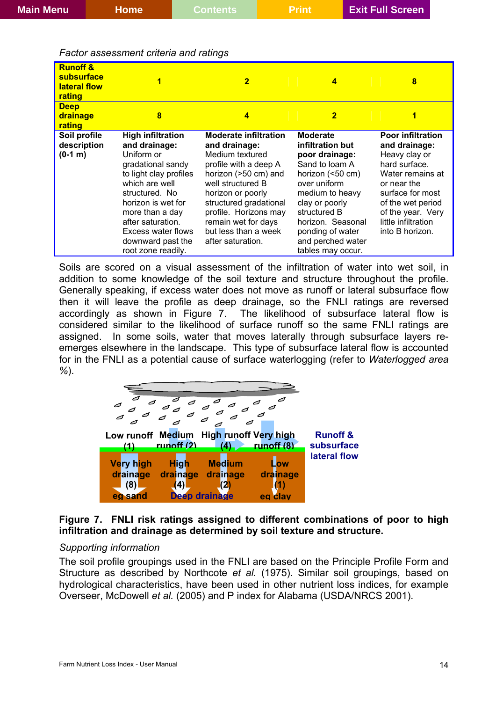#### *Factor assessment criteria and ratings*

| <b>Runoff &amp;</b><br>subsurface<br>lateral flow<br>rating |                                                                                                                                                                                                                                                                           | $\overline{\mathbf{2}}$                                                                                                                                                                                                                                                            | 4                                                                                                                                                                                                                                                   | 8                                                                                                                                                                                                                      |
|-------------------------------------------------------------|---------------------------------------------------------------------------------------------------------------------------------------------------------------------------------------------------------------------------------------------------------------------------|------------------------------------------------------------------------------------------------------------------------------------------------------------------------------------------------------------------------------------------------------------------------------------|-----------------------------------------------------------------------------------------------------------------------------------------------------------------------------------------------------------------------------------------------------|------------------------------------------------------------------------------------------------------------------------------------------------------------------------------------------------------------------------|
| <b>Deep</b><br><b>drainage</b><br>rating                    | 8                                                                                                                                                                                                                                                                         | 4                                                                                                                                                                                                                                                                                  | $\overline{\mathbf{2}}$                                                                                                                                                                                                                             | 1                                                                                                                                                                                                                      |
| Soil profile<br>description<br>$(0-1, m)$                   | <b>High infiltration</b><br>and drainage:<br>Uniform or<br>gradational sandy<br>to light clay profiles<br>which are well<br>structured. No<br>horizon is wet for<br>more than a day<br>after saturation.<br>Excess water flows<br>downward past the<br>root zone readily. | <b>Moderate infiltration</b><br>and drainage:<br>Medium textured<br>profile with a deep A<br>horizon (>50 cm) and<br>well structured B<br>horizon or poorly<br>structured gradational<br>profile. Horizons may<br>remain wet for days<br>but less than a week<br>after saturation. | <b>Moderate</b><br>infiltration but<br>poor drainage:<br>Sand to loam A<br>horizon (<50 cm)<br>over uniform<br>medium to heavy<br>clay or poorly<br>structured B<br>horizon. Seasonal<br>ponding of water<br>and perched water<br>tables may occur. | <b>Poor infiltration</b><br>and drainage:<br>Heavy clay or<br>hard surface.<br>Water remains at<br>or near the<br>surface for most<br>of the wet period<br>of the year. Very<br>little infiltration<br>into B horizon. |

Soils are scored on a visual assessment of the infiltration of water into wet soil, in addition to some knowledge of the soil texture and structure throughout the profile. Generally speaking, if excess water does not move as runoff or lateral subsurface flow then it will leave the profile as deep drainage, so the FNLI ratings are reversed accordingly as shown in [Figure 7](#page-13-0). The likelihood of subsurface lateral flow is considered similar to the likelihood of surface runoff so the same FNLI ratings are assigned. In some soils, water that moves laterally through subsurface layers reemerges elsewhere in the landscape. This type of subsurface lateral flow is accounted for in the FNLI as a potential cause of surface waterlogging (refer to *Waterlogged area %*).



### <span id="page-13-0"></span>**Figure 7. FNLI risk ratings assigned to different combinations of poor to high infiltration and drainage as determined by soil texture and structure.**

#### *Supporting information*

The soil profile groupings used in the FNLI are based on the Principle Profile Form and Structure as described by Northcote *et al.* (1975). Similar soil groupings, based on hydrological characteristics, have been used in other nutrient loss indices, for example Overseer, McDowell *et al.* (2005) and P index for Alabama (USDA/NRCS 2001).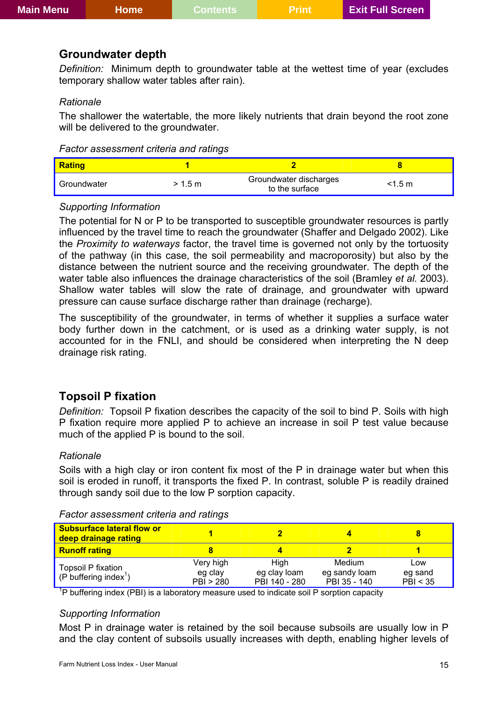# <span id="page-14-0"></span>**Groundwater depth**

*Definition:* Minimum depth to groundwater table at the wettest time of year (excludes temporary shallow water tables after rain).

### *Rationale*

The shallower the watertable, the more likely nutrients that drain beyond the root zone will be delivered to the groundwater.

| <b>Rating</b> |         |                                          |           |
|---------------|---------|------------------------------------------|-----------|
| Groundwater   | > 1.5 m | Groundwater discharges<br>to the surface | $<$ 1.5 m |

### *Supporting Information*

The potential for N or P to be transported to susceptible groundwater resources is partly influenced by the travel time to reach the groundwater (Shaffer and Delgado 2002). Like the *Proximity to waterways* factor, the travel time is governed not only by the tortuosity of the pathway (in this case, the soil permeability and macroporosity) but also by the distance between the nutrient source and the receiving groundwater. The depth of the water table also influences the drainage characteristics of the soil (Bramley *et al.* 2003). Shallow water tables will slow the rate of drainage, and groundwater with upward pressure can cause surface discharge rather than drainage (recharge).

The susceptibility of the groundwater, in terms of whether it supplies a surface water body further down in the catchment, or is used as a drinking water supply, is not accounted for in the FNLI, and should be considered when interpreting the N deep drainage risk rating.

### **Topsoil P fixation**

*Definition:* Topsoil P fixation describes the capacity of the soil to bind P. Soils with high P fixation require more applied P to achieve an increase in soil P test value because much of the applied P is bound to the soil.

### *Rationale*

Soils with a high clay or iron content fix most of the P in drainage water but when this soil is eroded in runoff, it transports the fixed P. In contrast, soluble P is readily drained through sandy soil due to the low P sorption capacity.

| <b>Subsurface lateral flow or</b><br>deep drainage rating |                                   |                                       |                                         |                            |
|-----------------------------------------------------------|-----------------------------------|---------------------------------------|-----------------------------------------|----------------------------|
| <b>Runoff rating</b>                                      |                                   |                                       |                                         |                            |
| Topsoil P fixation<br>(P buffering index <sup>1</sup> )   | Very high<br>eg clay<br>PBI > 280 | Hiah<br>eg clay loam<br>PBI 140 - 280 | Medium<br>eg sandy loam<br>PBI 35 - 140 | Low<br>eg sand<br>PBI < 35 |

#### *Factor assessment criteria and ratings*

<sup>1</sup>P buffering index (PBI) is a laboratory measure used to indicate soil P sorption capacity

#### *Supporting Information*

Most P in drainage water is retained by the soil because subsoils are usually low in P and the clay content of subsoils usually increases with depth, enabling higher levels of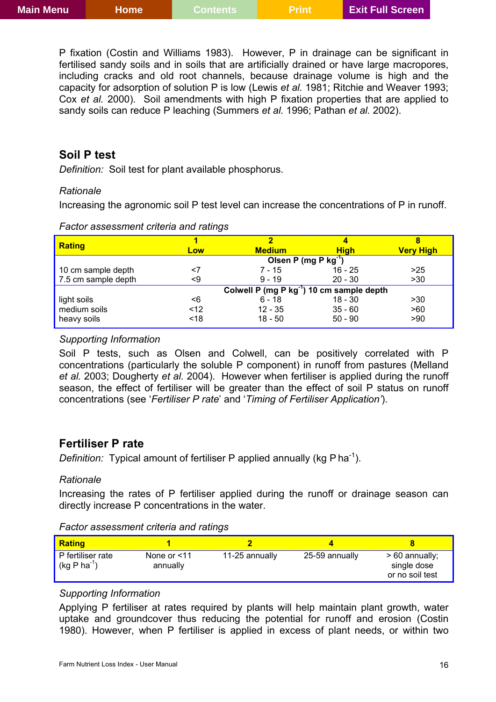<span id="page-15-0"></span>P fixation (Costin and Williams 1983). However, P in drainage can be significant in fertilised sandy soils and in soils that are artificially drained or have large macropores, including cracks and old root channels, because drainage volume is high and the capacity for adsorption of solution P is low (Lewis *et al.* 1981; Ritchie and Weaver 1993; Cox *et al.* 2000). Soil amendments with high P fixation properties that are applied to sandy soils can reduce P leaching (Summers *et al.* 1996; Pathan *et al.* 2002).

### **Soil P test**

*Definition:* Soil test for plant available phosphorus.

### *Rationale*

Increasing the agronomic soil P test level can increase the concentrations of P in runoff.

|                     |      | 2                                                     | 4           | 8                |
|---------------------|------|-------------------------------------------------------|-------------|------------------|
| <b>Rating</b>       | Low  | <b>Medium</b>                                         | <b>High</b> | <b>Very High</b> |
|                     |      | Olsen P (mg P $kg^{-1}$ )                             |             |                  |
| 10 cm sample depth  | <7   | $7 - 15$                                              | $16 - 25$   | >25              |
| 7.5 cm sample depth | <9   | $9 - 19$                                              | $20 - 30$   | >30              |
|                     |      | Colwell P (mg P kg <sup>-1</sup> ) 10 cm sample depth |             |                  |
| light soils         | <6   | $6 - 18$                                              | $18 - 30$   | >30              |
| medium soils        | $12$ | $12 - 35$                                             | $35 - 60$   | >60              |
| heavy soils         | < 18 | $18 - 50$                                             | $50 - 90$   | >90              |

*Factor assessment criteria and ratings* 

### *Supporting Information*

Soil P tests, such as Olsen and Colwell, can be positively correlated with P concentrations (particularly the soluble P component) in runoff from pastures (Melland *et al.* 2003; Dougherty *et al.* 2004). However when fertiliser is applied during the runoff season, the effect of fertiliser will be greater than the effect of soil P status on runoff concentrations (see '*Fertiliser P rate*' and '*Timing of Fertiliser Application'*).

### **Fertiliser P rate**

*Definition:* Typical amount of fertiliser P applied annually (kg P ha<sup>-1</sup>).

### *Rationale*

Increasing the rates of P fertiliser applied during the runoff or drainage season can directly increase P concentrations in the water.

#### *Factor assessment criteria and ratings*

| <b>Rating</b>                      |                            |                |                |                                                   |
|------------------------------------|----------------------------|----------------|----------------|---------------------------------------------------|
| P fertiliser rate<br>$(kg P ha-1)$ | None or $<$ 11<br>annually | 11-25 annually | 25-59 annually | $>60$ annually;<br>single dose<br>or no soil test |

### *Supporting Information*

Applying P fertiliser at rates required by plants will help maintain plant growth, water uptake and groundcover thus reducing the potential for runoff and erosion (Costin 1980). However, when P fertiliser is applied in excess of plant needs, or within two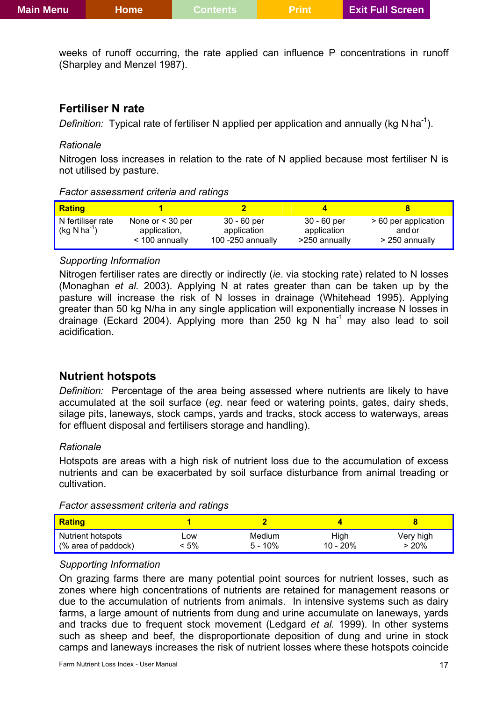<span id="page-16-0"></span>weeks of runoff occurring, the rate applied can influence P concentrations in runoff (Sharpley and Menzel 1987).

# **Fertiliser N rate**

*Definition:* Typical rate of fertiliser N applied per application and annually (kg N ha<sup>-1</sup>).

### *Rationale*

Nitrogen loss increases in relation to the rate of N applied because most fertiliser N is not utilised by pasture.

### *Factor assessment criteria and ratings*

| <b>Rating</b>                                   |                                                        |                                                   |                                             |                                                  |
|-------------------------------------------------|--------------------------------------------------------|---------------------------------------------------|---------------------------------------------|--------------------------------------------------|
| N fertiliser rate<br>$(kq$ N ha <sup>-1</sup> ) | None or $<$ 30 per<br>application,<br>$<$ 100 annually | 30 - 60 per<br>application<br>100 $-250$ annually | 30 - 60 per<br>application<br>>250 annually | > 60 per application<br>and or<br>> 250 annually |

### *Supporting Information*

Nitrogen fertiliser rates are directly or indirectly (*ie*. via stocking rate) related to N losses (Monaghan *et al.* 2003). Applying N at rates greater than can be taken up by the pasture will increase the risk of N losses in drainage (Whitehead 1995). Applying greater than 50 kg N/ha in any single application will exponentially increase N losses in drainage (Eckard 2004). Applying more than 250 kg N ha<sup>-1</sup> may also lead to soil acidification.

# **Nutrient hotspots**

*Definition:* Percentage of the area being assessed where nutrients are likely to have accumulated at the soil surface (*eg.* near feed or watering points, gates, dairy sheds, silage pits, laneways, stock camps, yards and tracks, stock access to waterways, areas for effluent disposal and fertilisers storage and handling).

### *Rationale*

Hotspots are areas with a high risk of nutrient loss due to the accumulation of excess nutrients and can be exacerbated by soil surface disturbance from animal treading or cultivation.

| Factor assessment criteria and ratings |
|----------------------------------------|
|----------------------------------------|

| <b>Rating</b>       |     |           |          |           |
|---------------------|-----|-----------|----------|-----------|
| Nutrient hotspots   | _ow | Medium    | High     | Very high |
| (% area of paddock) | 5%  | $5 - 10%$ | 10 - 20% | $> 20\%$  |

# *Supporting Information*

On grazing farms there are many potential point sources for nutrient losses, such as zones where high concentrations of nutrients are retained for management reasons or due to the accumulation of nutrients from animals. In intensive systems such as dairy farms, a large amount of nutrients from dung and urine accumulate on laneways, yards and tracks due to frequent stock movement (Ledgard *et al.* 1999). In other systems such as sheep and beef, the disproportionate deposition of dung and urine in stock camps and laneways increases the risk of nutrient losses where these hotspots coincide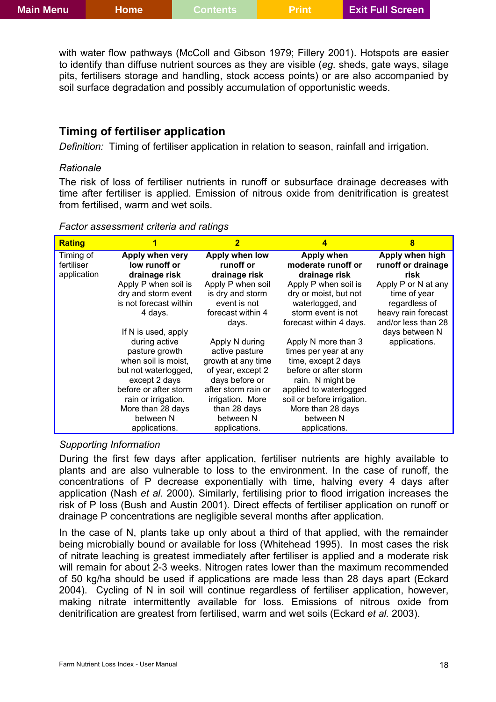<span id="page-17-0"></span>with water flow pathways (McColl and Gibson 1979; Fillery 2001). Hotspots are easier to identify than diffuse nutrient sources as they are visible (*eg.* sheds, gate ways, silage pits, fertilisers storage and handling, stock access points) or are also accompanied by soil surface degradation and possibly accumulation of opportunistic weeds.

### **Timing of fertiliser application**

*Definition:* Timing of fertiliser application in relation to season, rainfall and irrigation.

#### *Rationale*

The risk of loss of fertiliser nutrients in runoff or subsurface drainage decreases with time after fertiliser is applied. Emission of nitrous oxide from denitrification is greatest from fertilised, warm and wet soils.

| Factor assessment criteria and ratings |
|----------------------------------------|
|----------------------------------------|

| <b>Rating</b> | 1                      | $\overline{\mathbf{2}}$ | 4                          | 8                   |
|---------------|------------------------|-------------------------|----------------------------|---------------------|
| Timing of     | Apply when very        | Apply when low          | Apply when                 | Apply when high     |
| fertiliser    | low runoff or          | runoff or               | moderate runoff or         | runoff or drainage  |
| application   | drainage risk          | drainage risk           | drainage risk              | risk                |
|               | Apply P when soil is   | Apply P when soil       | Apply P when soil is       | Apply P or N at any |
|               | dry and storm event    | is dry and storm        | dry or moist, but not      | time of year        |
|               | is not forecast within | event is not            | waterlogged, and           | regardless of       |
|               | 4 days.                | forecast within 4       | storm event is not         | heavy rain forecast |
|               |                        | days.                   | forecast within 4 days.    | and/or less than 28 |
|               | If N is used, apply    |                         |                            | days between N      |
|               | during active          | Apply N during          | Apply N more than 3        | applications.       |
|               | pasture growth         | active pasture          | times per year at any      |                     |
|               | when soil is moist,    | growth at any time      | time, except 2 days        |                     |
|               | but not waterlogged,   | of year, except 2       | before or after storm      |                     |
|               | except 2 days          | days before or          | rain. N might be           |                     |
|               | before or after storm  | after storm rain or     | applied to waterlogged     |                     |
|               | rain or irrigation.    | irrigation. More        | soil or before irrigation. |                     |
|               | More than 28 days      | than 28 days            | More than 28 days          |                     |
|               | between N              | between N               | between N                  |                     |
|               | applications.          | applications.           | applications.              |                     |

#### *Supporting Information*

During the first few days after application, fertiliser nutrients are highly available to plants and are also vulnerable to loss to the environment. In the case of runoff, the concentrations of P decrease exponentially with time, halving every 4 days after application (Nash *et al.* 2000). Similarly, fertilising prior to flood irrigation increases the risk of P loss (Bush and Austin 2001). Direct effects of fertiliser application on runoff or drainage P concentrations are negligible several months after application.

In the case of N, plants take up only about a third of that applied, with the remainder being microbially bound or available for loss (Whitehead 1995). In most cases the risk of nitrate leaching is greatest immediately after fertiliser is applied and a moderate risk will remain for about 2-3 weeks. Nitrogen rates lower than the maximum recommended of 50 kg/ha should be used if applications are made less than 28 days apart (Eckard 2004). Cycling of N in soil will continue regardless of fertiliser application, however, making nitrate intermittently available for loss. Emissions of nitrous oxide from denitrification are greatest from fertilised, warm and wet soils (Eckard *et al.* 2003).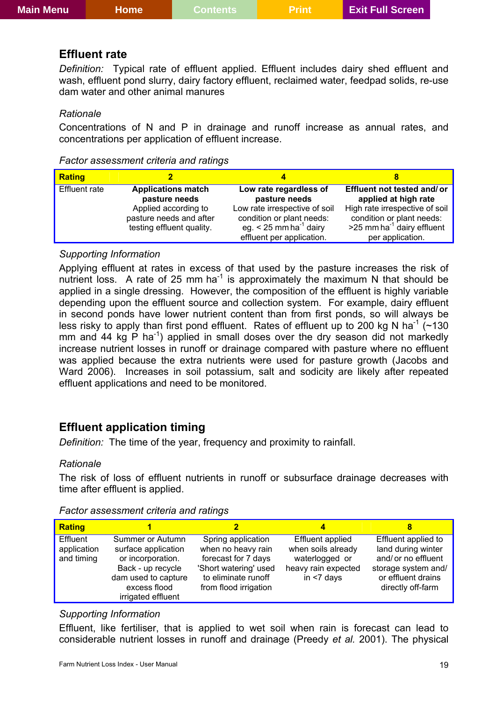#### <span id="page-18-0"></span>**Effluent rate**

*Definition:* Typical rate of effluent applied. Effluent includes dairy shed effluent and wash, effluent pond slurry, dairy factory effluent, reclaimed water, feedpad solids, re-use dam water and other animal manures

#### *Rationale*

Concentrations of N and P in drainage and runoff increase as annual rates, and concentrations per application of effluent increase.

| Factor assessment criteria and ratings |
|----------------------------------------|
|----------------------------------------|

| <b>Rating</b>        |                                                                              |                                                                                                                                 |                                                                                                                              |
|----------------------|------------------------------------------------------------------------------|---------------------------------------------------------------------------------------------------------------------------------|------------------------------------------------------------------------------------------------------------------------------|
| <b>Effluent rate</b> | <b>Applications match</b><br>pasture needs                                   | Low rate regardless of<br>pasture needs                                                                                         | Effluent not tested and/or<br>applied at high rate                                                                           |
|                      | Applied according to<br>pasture needs and after<br>testing effluent quality. | Low rate irrespective of soil<br>condition or plant needs:<br>eg. $<$ 25 mm ha <sup>-1</sup> dairy<br>effluent per application. | High rate irrespective of soil<br>condition or plant needs:<br>$>$ 25 mm ha <sup>-1</sup> dairy effluent<br>per application. |

#### *Supporting Information*

Applying effluent at rates in excess of that used by the pasture increases the risk of nutrient loss. A rate of 25 mm ha<sup>-1</sup> is approximately the maximum N that should be applied in a single dressing. However, the composition of the effluent is highly variable depending upon the effluent source and collection system. For example, dairy effluent in second ponds have lower nutrient content than from first ponds, so will always be less risky to apply than first pond effluent. Rates of effluent up to 200 kg N ha<sup>-1</sup> ( $\sim$ 130 mm and 44 kg P ha<sup>-1</sup>) applied in small doses over the dry season did not markedly increase nutrient losses in runoff or drainage compared with pasture where no effluent was applied because the extra nutrients were used for pasture growth (Jacobs and Ward 2006). Increases in soil potassium, salt and sodicity are likely after repeated effluent applications and need to be monitored.

### **Effluent application timing**

*Definition:* The time of the year, frequency and proximity to rainfall.

#### *Rationale*

The risk of loss of effluent nutrients in runoff or subsurface drainage decreases with time after effluent is applied.

| <b>Rating</b>                         |                                                                                                                                                |                                                                                                                                          |                                                                                                  | 8                                                                                                                                  |
|---------------------------------------|------------------------------------------------------------------------------------------------------------------------------------------------|------------------------------------------------------------------------------------------------------------------------------------------|--------------------------------------------------------------------------------------------------|------------------------------------------------------------------------------------------------------------------------------------|
| Effluent<br>application<br>and timing | Summer or Autumn<br>surface application<br>or incorporation.<br>Back - up recycle<br>dam used to capture<br>excess flood<br>irrigated effluent | Spring application<br>when no heavy rain<br>forecast for 7 days<br>'Short watering' used<br>to eliminate runoff<br>from flood irrigation | Effluent applied<br>when soils already<br>waterlogged or<br>heavy rain expected<br>in $<$ 7 days | Effluent applied to<br>land during winter<br>and/ or no effluent<br>storage system and/<br>or effluent drains<br>directly off-farm |

#### *Factor assessment criteria and ratings*

#### *Supporting Information*

Effluent, like fertiliser, that is applied to wet soil when rain is forecast can lead to considerable nutrient losses in runoff and drainage (Preedy *et al.* 2001). The physical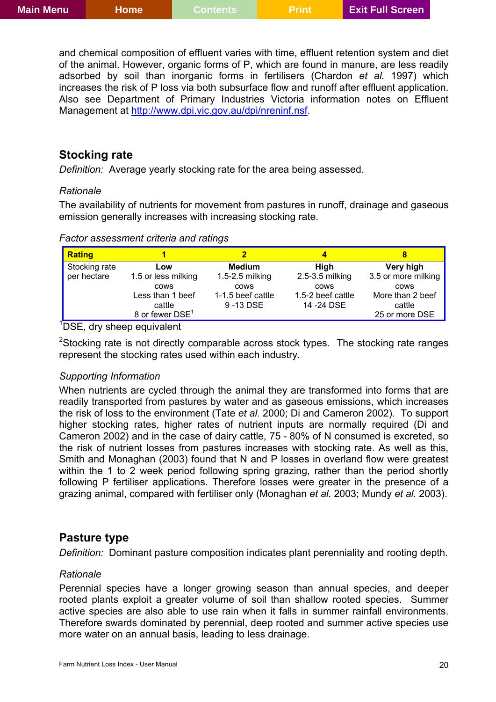<span id="page-19-0"></span>and chemical composition of effluent varies with time, effluent retention system and diet of the animal. However, organic forms of P, which are found in manure, are less readily adsorbed by soil than inorganic forms in fertilisers (Chardon *et al.* 1997) which increases the risk of P loss via both subsurface flow and runoff after effluent application. Also see Department of Primary Industries Victoria information notes on Effluent Management at <http://www.dpi.vic.gov.au/dpi/nreninf.nsf>.

### **Stocking rate**

*Definition:* Average yearly stocking rate for the area being assessed.

### *Rationale*

The availability of nutrients for movement from pastures in runoff, drainage and gaseous emission generally increases with increasing stocking rate.

*Factor assessment criteria and ratings* 

| <b>Rating</b>                |                                                                          |                                              |                                          |                                                             |
|------------------------------|--------------------------------------------------------------------------|----------------------------------------------|------------------------------------------|-------------------------------------------------------------|
| Stocking rate<br>per hectare | Low<br>1.5 or less milking                                               | <b>Medium</b><br>$1.5 - 2.5$ milking         | High<br>2.5-3.5 milking                  | Very high<br>3.5 or more milking                            |
|                              | <b>COWS</b><br>Less than 1 beef<br>cattle<br>8 or fewer DSE <sup>1</sup> | <b>COWS</b><br>1-1.5 beef cattle<br>9-13 DSE | cows<br>1.5-2 beef cattle<br>14 - 24 DSE | <b>COWS</b><br>More than 2 beef<br>cattle<br>25 or more DSE |

<sup>1</sup>DSE, dry sheep equivalent

<sup>2</sup>Stocking rate is not directly comparable across stock types. The stocking rate ranges represent the stocking rates used within each industry.

### *Supporting Information*

When nutrients are cycled through the animal they are transformed into forms that are readily transported from pastures by water and as gaseous emissions, which increases the risk of loss to the environment (Tate *et al.* 2000; Di and Cameron 2002). To support higher stocking rates, higher rates of nutrient inputs are normally required (Di and Cameron 2002) and in the case of dairy cattle, 75 - 80% of N consumed is excreted, so the risk of nutrient losses from pastures increases with stocking rate. As well as this, Smith and Monaghan (2003) found that N and P losses in overland flow were greatest within the 1 to 2 week period following spring grazing, rather than the period shortly following P fertiliser applications. Therefore losses were greater in the presence of a grazing animal, compared with fertiliser only (Monaghan *et al.* 2003; Mundy *et al.* 2003).

### **Pasture type**

*Definition:* Dominant pasture composition indicates plant perenniality and rooting depth.

### *Rationale*

Perennial species have a longer growing season than annual species, and deeper rooted plants exploit a greater volume of soil than shallow rooted species. Summer active species are also able to use rain when it falls in summer rainfall environments. Therefore swards dominated by perennial, deep rooted and summer active species use more water on an annual basis, leading to less drainage.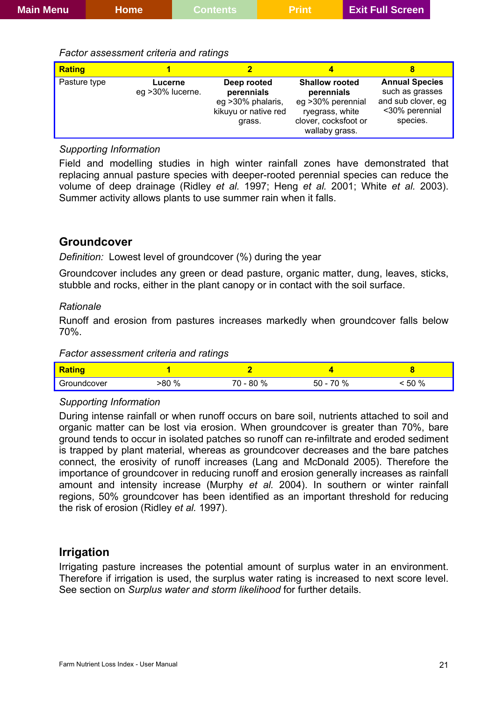#### <span id="page-20-0"></span>*Factor assessment criteria and ratings*

| <b>Rating</b> |                              |                                                                                  |                                                                                                                        |                                                                                              |
|---------------|------------------------------|----------------------------------------------------------------------------------|------------------------------------------------------------------------------------------------------------------------|----------------------------------------------------------------------------------------------|
| Pasture type  | Lucerne<br>eg > 30% lucerne. | Deep rooted<br>perennials<br>eg >30% phalaris,<br>kikuyu or native red<br>grass. | <b>Shallow rooted</b><br>perennials<br>eg > 30% perennial<br>ryegrass, white<br>clover, cocksfoot or<br>wallaby grass. | <b>Annual Species</b><br>such as grasses<br>and sub clover, eg<br><30% perennial<br>species. |

### *Supporting Information*

Field and modelling studies in high winter rainfall zones have demonstrated that replacing annual pasture species with deeper-rooted perennial species can reduce the volume of deep drainage (Ridley *et al.* 1997; Heng *et al.* 2001; White *et al.* 2003). Summer activity allows plants to use summer rain when it falls.

### **Groundcover**

*Definition:* Lowest level of groundcover (%) during the year

Groundcover includes any green or dead pasture, organic matter, dung, leaves, sticks, stubble and rocks, either in the plant canopy or in contact with the soil surface.

#### *Rationale*

Runoff and erosion from pastures increases markedly when groundcover falls below 70%.

#### *Factor assessment criteria and ratings*

| <b>Rating</b> |      |               |            |      |
|---------------|------|---------------|------------|------|
| Groundcover   | .80% | 80%<br>$\sim$ | $50 - 70%$ | 50 % |

#### *Supporting Information*

During intense rainfall or when runoff occurs on bare soil, nutrients attached to soil and organic matter can be lost via erosion. When groundcover is greater than 70%, bare ground tends to occur in isolated patches so runoff can re-infiltrate and eroded sediment is trapped by plant material, whereas as groundcover decreases and the bare patches connect, the erosivity of runoff increases (Lang and McDonald 2005). Therefore the importance of groundcover in reducing runoff and erosion generally increases as rainfall amount and intensity increase (Murphy *et al.* 2004). In southern or winter rainfall regions, 50% groundcover has been identified as an important threshold for reducing the risk of erosion (Ridley *et al.* 1997).

### **Irrigation**

Irrigating pasture increases the potential amount of surplus water in an environment. Therefore if irrigation is used, the surplus water rating is increased to next score level. See section on *Surplus water and storm likelihood* for further details.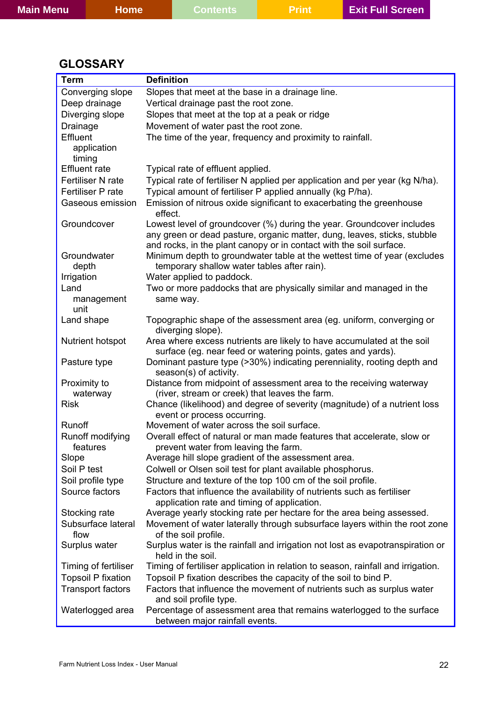<span id="page-21-0"></span>

| <b>Main Menu</b> | Home | Contents. | <b>\Prink</b> | <b>Exit Full Screen</b> |  |
|------------------|------|-----------|---------------|-------------------------|--|
|                  |      |           |               |                         |  |

# **GLOSSARY**

| <b>Term</b>                  | <b>Definition</b>                                                                                                                               |
|------------------------------|-------------------------------------------------------------------------------------------------------------------------------------------------|
| Converging slope             | Slopes that meet at the base in a drainage line.                                                                                                |
| Deep drainage                | Vertical drainage past the root zone.                                                                                                           |
| Diverging slope              | Slopes that meet at the top at a peak or ridge                                                                                                  |
| Drainage                     | Movement of water past the root zone.                                                                                                           |
| Effluent                     | The time of the year, frequency and proximity to rainfall.                                                                                      |
| application                  |                                                                                                                                                 |
| timing                       |                                                                                                                                                 |
| <b>Effluent</b> rate         | Typical rate of effluent applied.                                                                                                               |
| Fertiliser N rate            | Typical rate of fertiliser N applied per application and per year (kg N/ha).                                                                    |
| Fertiliser P rate            | Typical amount of fertiliser P applied annually (kg P/ha).                                                                                      |
| Gaseous emission             | Emission of nitrous oxide significant to exacerbating the greenhouse<br>effect.                                                                 |
| Groundcover                  | Lowest level of groundcover (%) during the year. Groundcover includes                                                                           |
|                              | any green or dead pasture, organic matter, dung, leaves, sticks, stubble                                                                        |
| Groundwater                  | and rocks, in the plant canopy or in contact with the soil surface.<br>Minimum depth to groundwater table at the wettest time of year (excludes |
| depth                        | temporary shallow water tables after rain).                                                                                                     |
| Irrigation                   | Water applied to paddock.                                                                                                                       |
| Land                         | Two or more paddocks that are physically similar and managed in the                                                                             |
| management                   | same way.                                                                                                                                       |
| unit                         |                                                                                                                                                 |
| Land shape                   | Topographic shape of the assessment area (eg. uniform, converging or<br>diverging slope).                                                       |
| <b>Nutrient hotspot</b>      | Area where excess nutrients are likely to have accumulated at the soil                                                                          |
|                              | surface (eg. near feed or watering points, gates and yards).                                                                                    |
| Pasture type                 | Dominant pasture type (>30%) indicating perenniality, rooting depth and<br>season(s) of activity.                                               |
| Proximity to                 | Distance from midpoint of assessment area to the receiving waterway                                                                             |
| waterway                     | (river, stream or creek) that leaves the farm.                                                                                                  |
| <b>Risk</b>                  | Chance (likelihood) and degree of severity (magnitude) of a nutrient loss<br>event or process occurring.                                        |
| Runoff                       | Movement of water across the soil surface.                                                                                                      |
| Runoff modifying<br>features | Overall effect of natural or man made features that accelerate, slow or<br>prevent water from leaving the farm.                                 |
| Slope                        | Average hill slope gradient of the assessment area.                                                                                             |
| Soil P test                  | Colwell or Olsen soil test for plant available phosphorus.                                                                                      |
| Soil profile type            | Structure and texture of the top 100 cm of the soil profile.                                                                                    |
| Source factors               | Factors that influence the availability of nutrients such as fertiliser<br>application rate and timing of application.                          |
| Stocking rate                | Average yearly stocking rate per hectare for the area being assessed.                                                                           |
| Subsurface lateral           | Movement of water laterally through subsurface layers within the root zone                                                                      |
| flow                         | of the soil profile.                                                                                                                            |
| Surplus water                | Surplus water is the rainfall and irrigation not lost as evapotranspiration or<br>held in the soil.                                             |
| Timing of fertiliser         | Timing of fertiliser application in relation to season, rainfall and irrigation.                                                                |
| <b>Topsoil P fixation</b>    | Topsoil P fixation describes the capacity of the soil to bind P.                                                                                |
| <b>Transport factors</b>     | Factors that influence the movement of nutrients such as surplus water<br>and soil profile type.                                                |
| Waterlogged area             | Percentage of assessment area that remains waterlogged to the surface<br>between major rainfall events.                                         |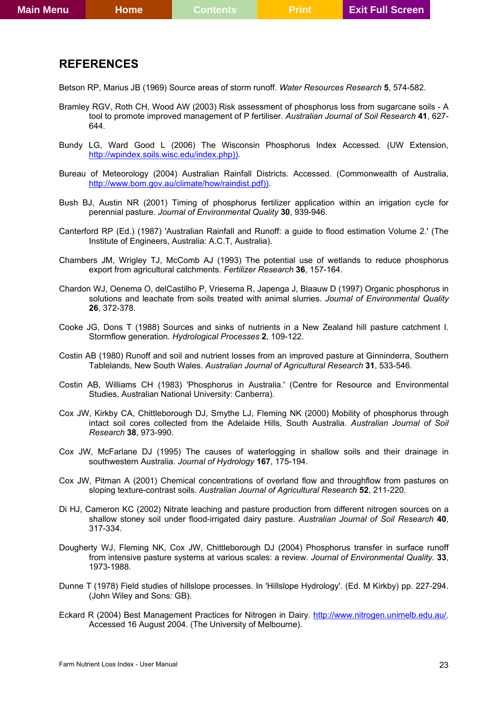### <span id="page-22-0"></span>**REFERENCES**

Betson RP, Marius JB (1969) Source areas of storm runoff. *Water Resources Research* **5**, 574-582.

- Bramley RGV, Roth CH, Wood AW (2003) Risk assessment of phosphorus loss from sugarcane soils A tool to promote improved management of P fertiliser. *Australian Journal of Soil Research* **41**, 627- 644.
- Bundy LG, Ward Good L (2006) The Wisconsin Phosphorus Index Accessed. (UW Extension, [http://wpindex.soils.wisc.edu/index.php\)\).](http://wpindex.soils.wisc.edu/index.php)))
- Bureau of Meteorology (2004) Australian Rainfall Districts. Accessed. (Commonwealth of Australia, [http://www.bom.gov.au/climate/how/raindist.pdf\)\).](http://www.bom.gov.au/climate/how/raindist.pdf)))
- Bush BJ, Austin NR (2001) Timing of phosphorus fertilizer application within an irrigation cycle for perennial pasture. *Journal of Environmental Quality* **30**, 939-946.
- Canterford RP (Ed.) (1987) 'Australian Rainfall and Runoff: a guide to flood estimation Volume 2.' (The Institute of Engineers, Australia: A.C.T, Australia).
- Chambers JM, Wrigley TJ, McComb AJ (1993) The potential use of wetlands to reduce phosphorus export from agricultural catchments. *Fertilizer Research* **36**, 157-164.
- Chardon WJ, Oenema O, delCastilho P, Vriesema R, Japenga J, Blaauw D (1997) Organic phosphorus in solutions and leachate from soils treated with animal slurries. *Journal of Environmental Quality* **26**, 372-378.
- Cooke JG, Dons T (1988) Sources and sinks of nutrients in a New Zealand hill pasture catchment I. Stormflow generation. *Hydrological Processes* **2**, 109-122.
- Costin AB (1980) Runoff and soil and nutrient losses from an improved pasture at Ginninderra, Southern Tablelands, New South Wales. *Australian Journal of Agricultural Research* **31**, 533-546.
- Costin AB, Williams CH (1983) 'Phosphorus in Australia.' (Centre for Resource and Environmental Studies, Australian National University: Canberra).
- Cox JW, Kirkby CA, Chittleborough DJ, Smythe LJ, Fleming NK (2000) Mobility of phosphorus through intact soil cores collected from the Adelaide Hills, South Australia. *Australian Journal of Soil Research* **38**, 973-990.
- Cox JW, McFarlane DJ (1995) The causes of waterlogging in shallow soils and their drainage in southwestern Australia. *Journal of Hydrology* **167**, 175-194.
- Cox JW, Pitman A (2001) Chemical concentrations of overland flow and throughflow from pastures on sloping texture-contrast soils. *Australian Journal of Agricultural Research* **52**, 211-220.
- Di HJ, Cameron KC (2002) Nitrate leaching and pasture production from different nitrogen sources on a shallow stoney soil under flood-irrigated dairy pasture. *Australian Journal of Soil Research* **40**, 317-334.
- Dougherty WJ, Fleming NK, Cox JW, Chittleborough DJ (2004) Phosphorus transfer in surface runoff from intensive pasture systems at various scales: a review. *Journal of Environmental Quality.* **33**, 1973-1988.
- Dunne T (1978) Field studies of hillslope processes. In 'Hillslope Hydrology'. (Ed. M Kirkby) pp. 227-294. (John Wiley and Sons: GB).
- Eckard R (2004) Best Management Practices for Nitrogen in Dairy. [http://www.nitrogen.unimelb.edu.au/.](http://www.nitrogen.unimelb.edu.au/) Accessed 16 August 2004. (The University of Melbourne).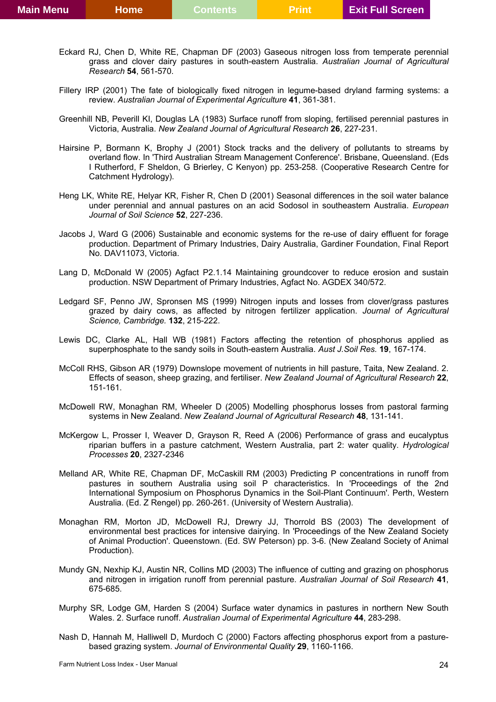- Eckard RJ, Chen D, White RE, Chapman DF (2003) Gaseous nitrogen loss from temperate perennial grass and clover dairy pastures in south-eastern Australia. *Australian Journal of Agricultural Research* **54**, 561-570.
- Fillery IRP (2001) The fate of biologically fixed nitrogen in legume-based dryland farming systems: a review. *Australian Journal of Experimental Agriculture* **41**, 361-381.
- Greenhill NB, Peverill KI, Douglas LA (1983) Surface runoff from sloping, fertilised perennial pastures in Victoria, Australia. *New Zealand Journal of Agricultural Research* **26**, 227-231.
- Hairsine P, Bormann K, Brophy J (2001) Stock tracks and the delivery of pollutants to streams by overland flow. In 'Third Australian Stream Management Conference'. Brisbane, Queensland. (Eds I Rutherford, F Sheldon, G Brierley, C Kenyon) pp. 253-258. (Cooperative Research Centre for Catchment Hydrology).
- Heng LK, White RE, Helyar KR, Fisher R, Chen D (2001) Seasonal differences in the soil water balance under perennial and annual pastures on an acid Sodosol in southeastern Australia. *European Journal of Soil Science* **52**, 227-236.
- Jacobs J, Ward G (2006) Sustainable and economic systems for the re-use of dairy effluent for forage production. Department of Primary Industries, Dairy Australia, Gardiner Foundation, Final Report No. DAV11073, Victoria.
- Lang D, McDonald W (2005) Agfact P2.1.14 Maintaining groundcover to reduce erosion and sustain production. NSW Department of Primary Industries, Agfact No. AGDEX 340/572.
- Ledgard SF, Penno JW, Spronsen MS (1999) Nitrogen inputs and losses from clover/grass pastures grazed by dairy cows, as affected by nitrogen fertilizer application. *Journal of Agricultural Science, Cambridge.* **132**, 215-222.
- Lewis DC, Clarke AL, Hall WB (1981) Factors affecting the retention of phosphorus applied as superphosphate to the sandy soils in South-eastern Australia. *Aust J.Soil Res.* **19**, 167-174.
- McColl RHS, Gibson AR (1979) Downslope movement of nutrients in hill pasture, Taita, New Zealand. 2. Effects of season, sheep grazing, and fertiliser. *New Zealand Journal of Agricultural Research* **22**, 151-161.
- McDowell RW, Monaghan RM, Wheeler D (2005) Modelling phosphorus losses from pastoral farming systems in New Zealand. *New Zealand Journal of Agricultural Research* **48**, 131-141.
- McKergow L, Prosser I, Weaver D, Grayson R, Reed A (2006) Performance of grass and eucalyptus riparian buffers in a pasture catchment, Western Australia, part 2: water quality. *Hydrological Processes* **20**, 2327-2346
- Melland AR, White RE, Chapman DF, McCaskill RM (2003) Predicting P concentrations in runoff from pastures in southern Australia using soil P characteristics. In 'Proceedings of the 2nd International Symposium on Phosphorus Dynamics in the Soil-Plant Continuum'. Perth, Western Australia. (Ed. Z Rengel) pp. 260-261. (University of Western Australia).
- Monaghan RM, Morton JD, McDowell RJ, Drewry JJ, Thorrold BS (2003) The development of environmental best practices for intensive dairying. In 'Proceedings of the New Zealand Society of Animal Production'. Queenstown. (Ed. SW Peterson) pp. 3-6. (New Zealand Society of Animal Production).
- Mundy GN, Nexhip KJ, Austin NR, Collins MD (2003) The influence of cutting and grazing on phosphorus and nitrogen in irrigation runoff from perennial pasture. *Australian Journal of Soil Research* **41**, 675-685.
- Murphy SR, Lodge GM, Harden S (2004) Surface water dynamics in pastures in northern New South Wales. 2. Surface runoff. *Australian Journal of Experimental Agriculture* **44**, 283-298.
- Nash D, Hannah M, Halliwell D, Murdoch C (2000) Factors affecting phosphorus export from a pasturebased grazing system. *Journal of Environmental Quality* **29**, 1160-1166.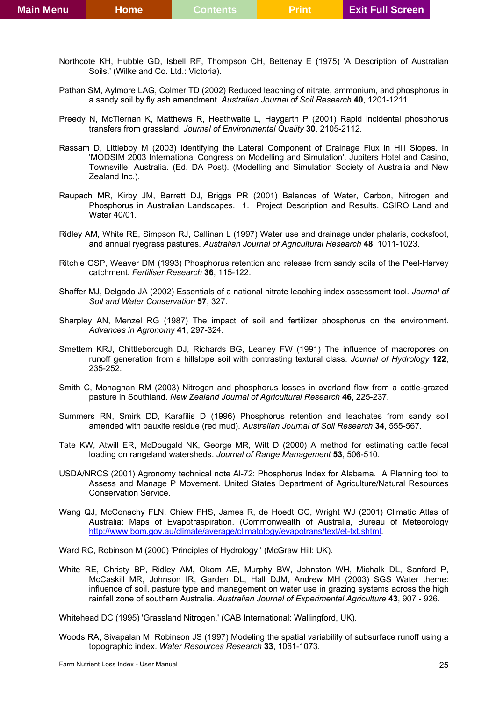- Northcote KH, Hubble GD, Isbell RF, Thompson CH, Bettenay E (1975) 'A Description of Australian Soils.' (Wilke and Co. Ltd.: Victoria).
- Pathan SM, Aylmore LAG, Colmer TD (2002) Reduced leaching of nitrate, ammonium, and phosphorus in a sandy soil by fly ash amendment. *Australian Journal of Soil Research* **40**, 1201-1211.
- Preedy N, McTiernan K, Matthews R, Heathwaite L, Haygarth P (2001) Rapid incidental phosphorus transfers from grassland. *Journal of Environmental Quality* **30**, 2105-2112.
- Rassam D, Littleboy M (2003) Identifying the Lateral Component of Drainage Flux in Hill Slopes. In 'MODSIM 2003 International Congress on Modelling and Simulation'. Jupiters Hotel and Casino, Townsville, Australia. (Ed. DA Post). (Modelling and Simulation Society of Australia and New Zealand Inc.).
- Raupach MR, Kirby JM, Barrett DJ, Briggs PR (2001) Balances of Water, Carbon, Nitrogen and Phosphorus in Australian Landscapes. 1. Project Description and Results. CSIRO Land and Water 40/01.
- Ridley AM, White RE, Simpson RJ, Callinan L (1997) Water use and drainage under phalaris, cocksfoot, and annual ryegrass pastures. *Australian Journal of Agricultural Research* **48**, 1011-1023.
- Ritchie GSP, Weaver DM (1993) Phosphorus retention and release from sandy soils of the Peel-Harvey catchment. *Fertiliser Research* **36**, 115-122.
- Shaffer MJ, Delgado JA (2002) Essentials of a national nitrate leaching index assessment tool. *Journal of Soil and Water Conservation* **57**, 327.
- Sharpley AN, Menzel RG (1987) The impact of soil and fertilizer phosphorus on the environment. *Advances in Agronomy* **41**, 297-324.
- Smettem KRJ, Chittleborough DJ, Richards BG, Leaney FW (1991) The influence of macropores on runoff generation from a hillslope soil with contrasting textural class. *Journal of Hydrology* **122**, 235-252.
- Smith C, Monaghan RM (2003) Nitrogen and phosphorus losses in overland flow from a cattle-grazed pasture in Southland. *New Zealand Journal of Agricultural Research* **46**, 225-237.
- Summers RN, Smirk DD, Karafilis D (1996) Phosphorus retention and leachates from sandy soil amended with bauxite residue (red mud). *Australian Journal of Soil Research* **34**, 555-567.
- Tate KW, Atwill ER, McDougald NK, George MR, Witt D (2000) A method for estimating cattle fecal loading on rangeland watersheds. *Journal of Range Management* **53**, 506-510.
- USDA/NRCS (2001) Agronomy technical note Al-72: Phosphorus Index for Alabama. A Planning tool to Assess and Manage P Movement. United States Department of Agriculture/Natural Resources Conservation Service.
- Wang QJ, McConachy FLN, Chiew FHS, James R, de Hoedt GC, Wright WJ (2001) Climatic Atlas of Australia: Maps of Evapotraspiration. (Commonwealth of Australia, Bureau of Meteorology [http://www.bom.gov.au/climate/average/climatology/evapotrans/text/et-txt.shtml.](http://www.bom.gov.au/climate/average/climatology/evapotrans/text/et-txt.shtml)
- Ward RC, Robinson M (2000) 'Principles of Hydrology.' (McGraw Hill: UK).
- White RE, Christy BP, Ridley AM, Okom AE, Murphy BW, Johnston WH, Michalk DL, Sanford P, McCaskill MR, Johnson IR, Garden DL, Hall DJM, Andrew MH (2003) SGS Water theme: influence of soil, pasture type and management on water use in grazing systems across the high rainfall zone of southern Australia. *Australian Journal of Experimental Agriculture* **43**, 907 - 926.

Whitehead DC (1995) 'Grassland Nitrogen.' (CAB International: Wallingford, UK).

Woods RA, Sivapalan M, Robinson JS (1997) Modeling the spatial variability of subsurface runoff using a topographic index. *Water Resources Research* **33**, 1061-1073.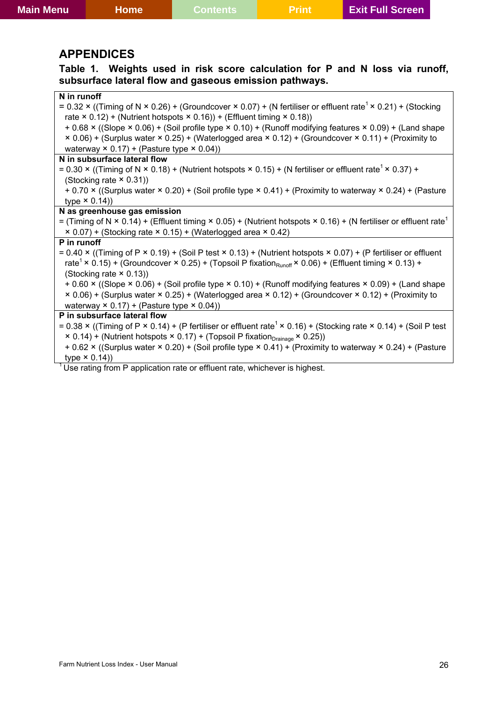### <span id="page-25-0"></span>**APPENDICES**

**Table 1. Weights used in risk score calculation for P and N loss via runoff, subsurface lateral flow and gaseous emission pathways.** 

| N in runoff                                                                                                                                         |
|-----------------------------------------------------------------------------------------------------------------------------------------------------|
| = $0.32 \times$ ((Timing of N $\times$ 0.26) + (Groundcover $\times$ 0.07) + (N fertiliser or effluent rate <sup>1</sup> $\times$ 0.21) + (Stocking |
| rate $\times$ 0.12) + (Nutrient hotspots $\times$ 0.16)) + (Effluent timing $\times$ 0.18))                                                         |
| + 0.68 x ((Slope x 0.06) + (Soil profile type x 0.10) + (Runoff modifying features x 0.09) + (Land shape                                            |
| × 0.06) + (Surplus water × 0.25) + (Waterlogged area × 0.12) + (Groundcover × 0.11) + (Proximity to                                                 |
| waterway $\times$ 0.17) + (Pasture type $\times$ 0.04))                                                                                             |
| N in subsurface lateral flow                                                                                                                        |
| = 0.30 x ((Timing of N x 0.18) + (Nutrient hotspots x 0.15) + (N fertiliser or effluent rate <sup>1</sup> x 0.37) +                                 |
| (Stocking rate $\times$ 0.31))                                                                                                                      |
| + 0.70 x ((Surplus water × 0.20) + (Soil profile type × 0.41) + (Proximity to waterway × 0.24) + (Pasture                                           |
| type $\times$ 0.14))                                                                                                                                |
| N as greenhouse gas emission                                                                                                                        |
| = (Timing of N × 0.14) + (Effluent timing × 0.05) + (Nutrient hotspots × 0.16) + (N fertiliser or effluent rate <sup>1</sup>                        |
| × 0.07) + (Stocking rate × 0.15) + (Waterlogged area × 0.42)                                                                                        |
| P in runoff                                                                                                                                         |
| = $0.40 \times$ ((Timing of P $\times$ 0.19) + (Soil P test $\times$ 0.13) + (Nutrient hotspots $\times$ 0.07) + (P fertiliser or effluent          |
| rate <sup>1</sup> × 0.15) + (Groundcover × 0.25) + (Topsoil P fixation <sub>Runoff</sub> × 0.06) + (Effluent timing × 0.13) +                       |
| (Stocking rate $\times$ 0.13))                                                                                                                      |
| + 0.60 × ((Slope × 0.06) + (Soil profile type × 0.10) + (Runoff modifying features × 0.09) + (Land shape                                            |
| × 0.06) + (Surplus water × 0.25) + (Waterlogged area × 0.12) + (Groundcover × 0.12) + (Proximity to                                                 |
| waterway $\times$ 0.17) + (Pasture type $\times$ 0.04))                                                                                             |
| P in subsurface lateral flow                                                                                                                        |
| = 0.38 x ((Timing of P x 0.14) + (P fertiliser or effluent rate <sup>1</sup> x 0.16) + (Stocking rate x 0.14) + (Soil P test                        |
| × 0.14) + (Nutrient hotspots × 0.17) + (Topsoil P fixation <sub>Drainage</sub> × 0.25))                                                             |
| + 0.62 × ((Surplus water × 0.20) + (Soil profile type × 0.41) + (Proximity to waterway × 0.24) + (Pasture                                           |
| type $\times$ 0.14))                                                                                                                                |

 $1$  Use rating from P application rate or effluent rate, whichever is highest.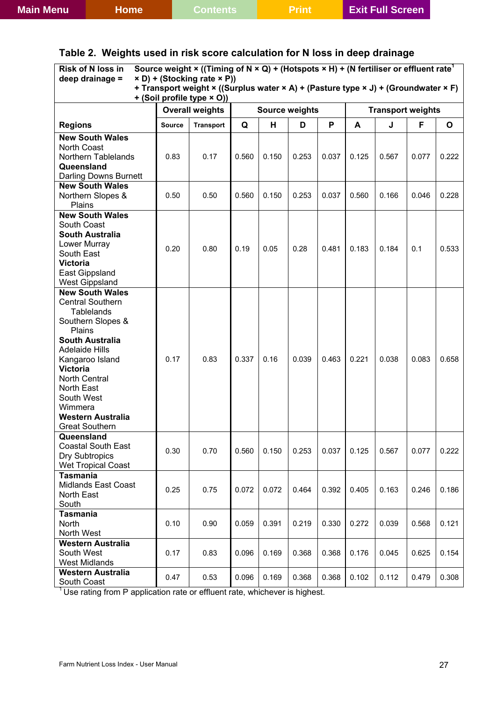<span id="page-26-0"></span>

|  |  |  |  | Table 2.  Weights used in risk score calculation for N loss in deep drainage |  |  |  |  |
|--|--|--|--|------------------------------------------------------------------------------|--|--|--|--|
|--|--|--|--|------------------------------------------------------------------------------|--|--|--|--|

| Source weight $\times$ ((Timing of N $\times$ Q) + (Hotspots $\times$ H) + (N fertiliser or effluent rate <sup>1</sup><br>Risk of N loss in<br>deep drainage =<br>× D) + (Stocking rate × P))<br>+ Transport weight × ((Surplus water × A) + (Pasture type × J) + (Groundwater × F) |               |                            |       |                       |       |       |       |                          |       |       |
|-------------------------------------------------------------------------------------------------------------------------------------------------------------------------------------------------------------------------------------------------------------------------------------|---------------|----------------------------|-------|-----------------------|-------|-------|-------|--------------------------|-------|-------|
|                                                                                                                                                                                                                                                                                     |               | + (Soil profile type × O)) |       |                       |       |       |       |                          |       |       |
|                                                                                                                                                                                                                                                                                     |               | <b>Overall weights</b>     |       | <b>Source weights</b> |       |       |       | <b>Transport weights</b> |       |       |
| <b>Regions</b>                                                                                                                                                                                                                                                                      | <b>Source</b> | <b>Transport</b>           | Q     | н                     | D     | P     | A     | J                        | F     | O     |
| <b>New South Wales</b>                                                                                                                                                                                                                                                              |               |                            |       |                       |       |       |       |                          |       |       |
| <b>North Coast</b>                                                                                                                                                                                                                                                                  |               |                            |       |                       |       | 0.037 |       |                          |       |       |
| Northern Tablelands<br>Queensland                                                                                                                                                                                                                                                   | 0.83          | 0.17                       | 0.560 | 0.150                 | 0.253 |       | 0.125 | 0.567                    | 0.077 | 0.222 |
| Darling Downs Burnett                                                                                                                                                                                                                                                               |               |                            |       |                       |       |       |       |                          |       |       |
| <b>New South Wales</b>                                                                                                                                                                                                                                                              |               |                            |       |                       |       |       |       |                          |       |       |
| Northern Slopes &                                                                                                                                                                                                                                                                   | 0.50          | 0.50                       | 0.560 | 0.150                 | 0.253 | 0.037 | 0.560 | 0.166                    | 0.046 | 0.228 |
| Plains                                                                                                                                                                                                                                                                              |               |                            |       |                       |       |       |       |                          |       |       |
| <b>New South Wales</b>                                                                                                                                                                                                                                                              |               |                            |       |                       |       |       |       |                          |       |       |
| South Coast                                                                                                                                                                                                                                                                         |               |                            |       |                       |       |       |       |                          |       |       |
| <b>South Australia</b><br>Lower Murray                                                                                                                                                                                                                                              |               |                            |       |                       |       |       |       |                          |       |       |
| South East                                                                                                                                                                                                                                                                          | 0.20          | 0.80                       | 0.19  | 0.05                  | 0.28  | 0.481 | 0.183 | 0.184                    | 0.1   | 0.533 |
| <b>Victoria</b>                                                                                                                                                                                                                                                                     |               |                            |       |                       |       |       |       |                          |       |       |
| East Gippsland                                                                                                                                                                                                                                                                      |               |                            |       |                       |       |       |       |                          |       |       |
| <b>West Gippsland</b>                                                                                                                                                                                                                                                               |               |                            |       |                       |       |       |       |                          |       |       |
| <b>New South Wales</b>                                                                                                                                                                                                                                                              |               |                            |       |                       |       |       |       |                          |       |       |
| <b>Central Southern</b>                                                                                                                                                                                                                                                             |               |                            |       |                       |       |       |       |                          |       |       |
| <b>Tablelands</b>                                                                                                                                                                                                                                                                   |               |                            |       |                       |       |       |       |                          |       |       |
| Southern Slopes &<br>Plains                                                                                                                                                                                                                                                         |               |                            |       |                       |       |       |       |                          |       |       |
| <b>South Australia</b>                                                                                                                                                                                                                                                              |               |                            |       |                       |       |       |       |                          |       |       |
| <b>Adelaide Hills</b>                                                                                                                                                                                                                                                               |               |                            |       |                       |       |       |       |                          |       |       |
| Kangaroo Island                                                                                                                                                                                                                                                                     | 0.17          | 0.83                       | 0.337 | 0.16                  | 0.039 | 0.463 | 0.221 | 0.038                    | 0.083 | 0.658 |
| <b>Victoria</b>                                                                                                                                                                                                                                                                     |               |                            |       |                       |       |       |       |                          |       |       |
| <b>North Central</b>                                                                                                                                                                                                                                                                |               |                            |       |                       |       |       |       |                          |       |       |
| North East                                                                                                                                                                                                                                                                          |               |                            |       |                       |       |       |       |                          |       |       |
| South West<br>Wimmera                                                                                                                                                                                                                                                               |               |                            |       |                       |       |       |       |                          |       |       |
| <b>Western Australia</b>                                                                                                                                                                                                                                                            |               |                            |       |                       |       |       |       |                          |       |       |
| <b>Great Southern</b>                                                                                                                                                                                                                                                               |               |                            |       |                       |       |       |       |                          |       |       |
| Queensland                                                                                                                                                                                                                                                                          |               |                            |       |                       |       |       |       |                          |       |       |
| <b>Coastal South East</b>                                                                                                                                                                                                                                                           | 0.30          | 0.70                       | 0.560 | 0.150                 | 0.253 | 0.037 | 0.125 | 0.567                    | 0.077 | 0.222 |
| <b>Dry Subtropics</b>                                                                                                                                                                                                                                                               |               |                            |       |                       |       |       |       |                          |       |       |
| <b>Wet Tropical Coast</b>                                                                                                                                                                                                                                                           |               |                            |       |                       |       |       |       |                          |       |       |
| <b>Tasmania</b>                                                                                                                                                                                                                                                                     |               |                            |       |                       |       |       |       |                          |       |       |
| <b>Midlands East Coast</b>                                                                                                                                                                                                                                                          | 0.25          | 0.75                       | 0.072 | 0.072                 | 0.464 | 0.392 | 0.405 | 0.163                    | 0.246 | 0.186 |
| North East<br>South                                                                                                                                                                                                                                                                 |               |                            |       |                       |       |       |       |                          |       |       |
| <b>Tasmania</b>                                                                                                                                                                                                                                                                     |               |                            |       |                       |       |       |       |                          |       |       |
| North                                                                                                                                                                                                                                                                               | 0.10          | 0.90                       | 0.059 | 0.391                 | 0.219 | 0.330 | 0.272 | 0.039                    | 0.568 | 0.121 |
| North West                                                                                                                                                                                                                                                                          |               |                            |       |                       |       |       |       |                          |       |       |
| <b>Western Australia</b>                                                                                                                                                                                                                                                            |               |                            |       |                       |       |       |       |                          |       |       |
| South West                                                                                                                                                                                                                                                                          | 0.17          | 0.83                       | 0.096 | 0.169                 | 0.368 | 0.368 | 0.176 | 0.045                    | 0.625 | 0.154 |
| <b>West Midlands</b>                                                                                                                                                                                                                                                                |               |                            |       |                       |       |       |       |                          |       |       |
| <b>Western Australia</b>                                                                                                                                                                                                                                                            | 0.47          | 0.53                       | 0.096 | 0.169                 | 0.368 | 0.368 | 0.102 | 0.112                    | 0.479 | 0.308 |
| South Coast                                                                                                                                                                                                                                                                         |               |                            |       |                       |       |       |       |                          |       |       |

 $1$  Use rating from P application rate or effluent rate, whichever is highest.